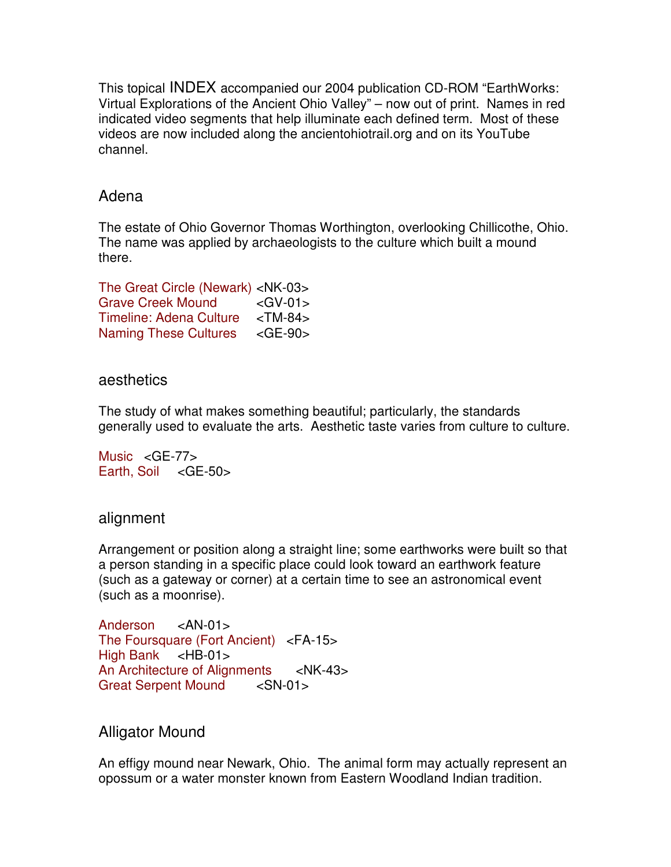This topical INDEX accompanied our 2004 publication CD-ROM "EarthWorks: Virtual Explorations of the Ancient Ohio Valley" – now out of print. Names in red indicated video segments that help illuminate each defined term. Most of these videos are now included along the ancientohiotrail.org and on its YouTube channel.

## Adena

The estate of Ohio Governor Thomas Worthington, overlooking Chillicothe, Ohio. The name was applied by archaeologists to the culture which built a mound there.

| The Great Circle (Newark) <nk-03></nk-03> |               |
|-------------------------------------------|---------------|
| <b>Grave Creek Mound</b>                  | $<$ GV-01 $>$ |
| <b>Timeline: Adena Culture</b>            | $<$ TM-84 $>$ |
| <b>Naming These Cultures</b>              | $<$ GE-90 $>$ |

### aesthetics

The study of what makes something beautiful; particularly, the standards generally used to evaluate the arts. Aesthetic taste varies from culture to culture.

Music <GE-77> Earth, Soil <GE-50>

# alignment

Arrangement or position along a straight line; some earthworks were built so that a person standing in a specific place could look toward an earthwork feature (such as a gateway or corner) at a certain time to see an astronomical event (such as a moonrise).

Anderson <AN-01> The Foursquare (Fort Ancient) <FA-15> High Bank <HB-01> An Architecture of Alignments <NK-43> Great Serpent Mound <SN-01>

### Alligator Mound

An effigy mound near Newark, Ohio. The animal form may actually represent an opossum or a water monster known from Eastern Woodland Indian tradition.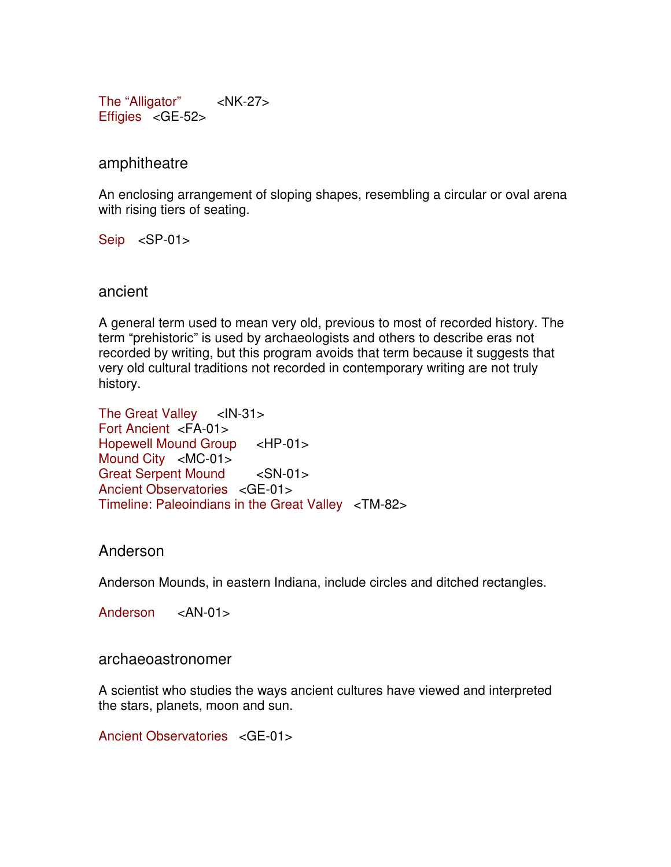The "Alligator" <NK-27> Effigies <GE-52>

amphitheatre

An enclosing arrangement of sloping shapes, resembling a circular or oval arena with rising tiers of seating.

Seip <SP-01>

ancient

A general term used to mean very old, previous to most of recorded history. The term "prehistoric" is used by archaeologists and others to describe eras not recorded by writing, but this program avoids that term because it suggests that very old cultural traditions not recorded in contemporary writing are not truly history.

The Great Valley <IN-31> Fort Ancient <FA-01> Hopewell Mound Group <HP-01> Mound City <MC-01> Great Serpent Mound <SN-01> Ancient Observatories <GE-01> Timeline: Paleoindians in the Great Valley <TM-82>

# Anderson

Anderson Mounds, in eastern Indiana, include circles and ditched rectangles.

Anderson <AN-01>

archaeoastronomer

A scientist who studies the ways ancient cultures have viewed and interpreted the stars, planets, moon and sun.

Ancient Observatories <GE-01>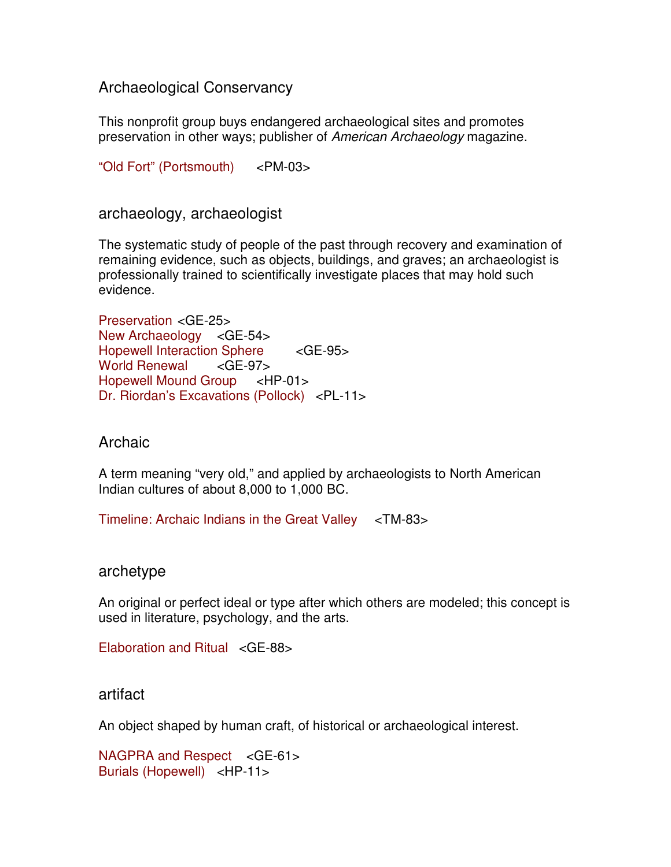Archaeological Conservancy

This nonprofit group buys endangered archaeological sites and promotes preservation in other ways; publisher of American Archaeology magazine.

"Old Fort" (Portsmouth) <PM-03>

archaeology, archaeologist

The systematic study of people of the past through recovery and examination of remaining evidence, such as objects, buildings, and graves; an archaeologist is professionally trained to scientifically investigate places that may hold such evidence.

Preservation <GE-25> New Archaeology <GE-54> Hopewell Interaction Sphere <GE-95> World Renewal <GE-97> Hopewell Mound Group <HP-01> Dr. Riordan's Excavations (Pollock) <PL-11>

# Archaic

A term meaning "very old," and applied by archaeologists to North American Indian cultures of about 8,000 to 1,000 BC.

Timeline: Archaic Indians in the Great Valley <TM-83>

### archetype

An original or perfect ideal or type after which others are modeled; this concept is used in literature, psychology, and the arts.

Elaboration and Ritual <GE-88>

# artifact

An object shaped by human craft, of historical or archaeological interest.

NAGPRA and Respect <GE-61> Burials (Hopewell) <HP-11>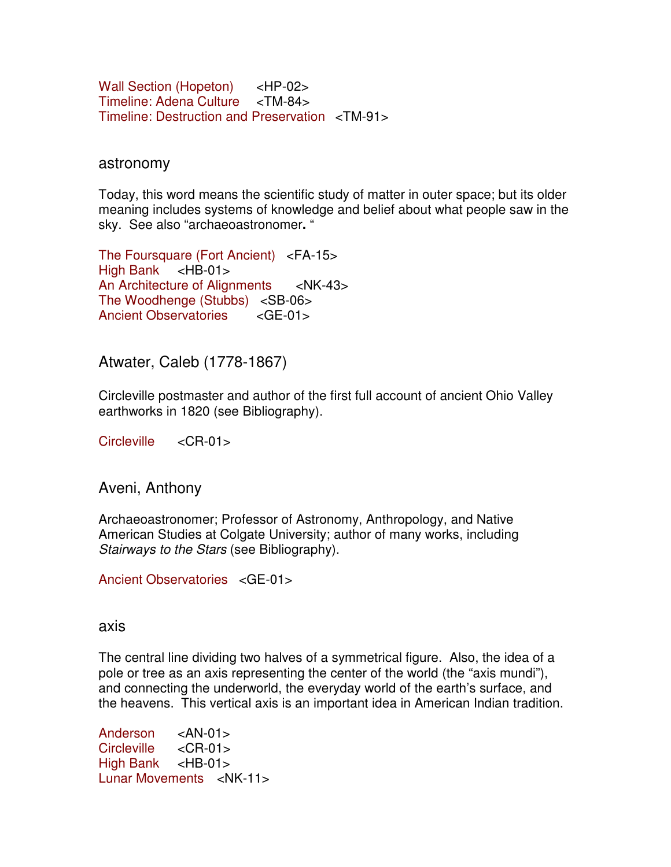Wall Section (Hopeton) <HP-02> Timeline: Adena Culture <TM-84> Timeline: Destruction and Preservation <TM-91>

#### astronomy

Today, this word means the scientific study of matter in outer space; but its older meaning includes systems of knowledge and belief about what people saw in the sky. See also "archaeoastronomer**.** "

The Foursquare (Fort Ancient) <FA-15> High Bank <HB-01> An Architecture of Alignments <NK-43> The Woodhenge (Stubbs) <SB-06> Ancient Observatories <GE-01>

Atwater, Caleb (1778-1867)

Circleville postmaster and author of the first full account of ancient Ohio Valley earthworks in 1820 (see Bibliography).

Circleville <CR-01>

Aveni, Anthony

Archaeoastronomer; Professor of Astronomy, Anthropology, and Native American Studies at Colgate University; author of many works, including Stairways to the Stars (see Bibliography).

Ancient Observatories <GE-01>

#### axis

The central line dividing two halves of a symmetrical figure. Also, the idea of a pole or tree as an axis representing the center of the world (the "axis mundi"), and connecting the underworld, the everyday world of the earth's surface, and the heavens. This vertical axis is an important idea in American Indian tradition.

Anderson <AN-01> Circleville <CR-01> High Bank <HB-01> Lunar Movements <NK-11>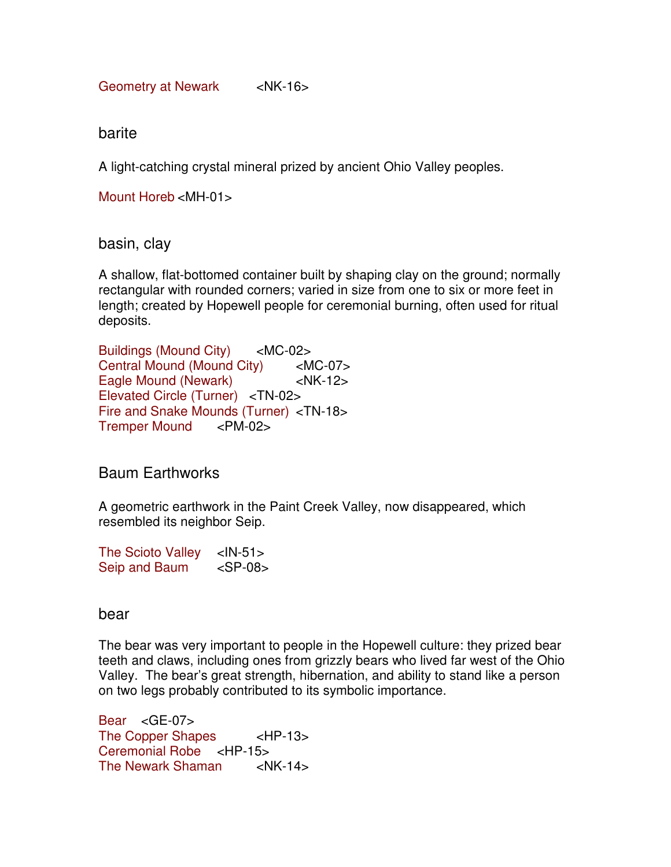Geometry at Newark <NK-16>

barite

A light-catching crystal mineral prized by ancient Ohio Valley peoples.

Mount Horeb <MH-01>

basin, clay

A shallow, flat-bottomed container built by shaping clay on the ground; normally rectangular with rounded corners; varied in size from one to six or more feet in length; created by Hopewell people for ceremonial burning, often used for ritual deposits.

Buildings (Mound City) <MC-02> Central Mound (Mound City) <MC-07> Eagle Mound (Newark) <NK-12> Elevated Circle (Turner) <TN-02> Fire and Snake Mounds (Turner) <TN-18> Tremper Mound <PM-02>

# Baum Earthworks

A geometric earthwork in the Paint Creek Valley, now disappeared, which resembled its neighbor Seip.

| <b>The Scioto Valley</b> | $<$ IN-51 $>$ |
|--------------------------|---------------|
| Seip and Baum            | $<$ SP-08 $>$ |

### bear

The bear was very important to people in the Hopewell culture: they prized bear teeth and claws, including ones from grizzly bears who lived far west of the Ohio Valley. The bear's great strength, hibernation, and ability to stand like a person on two legs probably contributed to its symbolic importance.

Bear <GE-07> The Copper Shapes <HP-13> Ceremonial Robe <HP-15> The Newark Shaman <NK-14>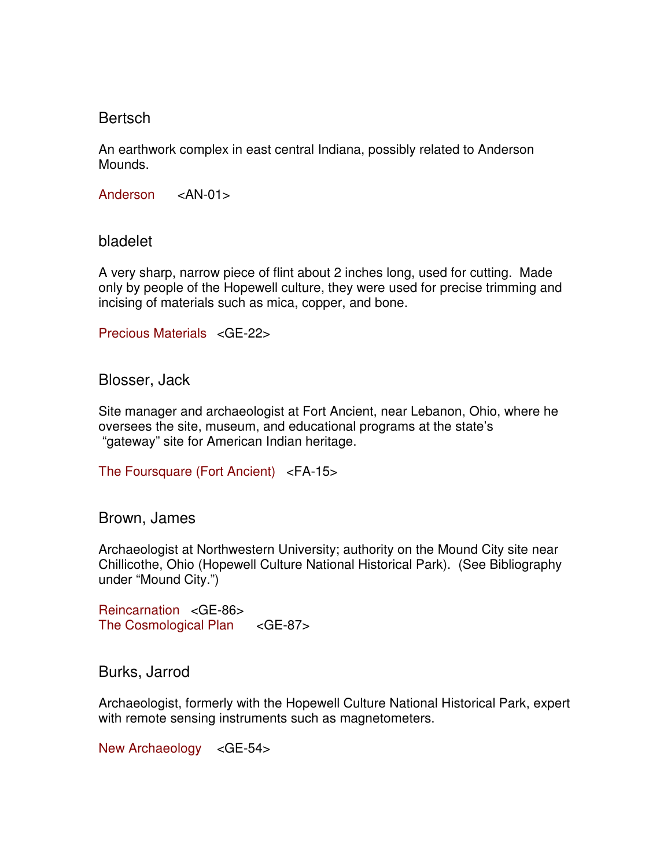## Bertsch

An earthwork complex in east central Indiana, possibly related to Anderson Mounds.

Anderson <AN-01>

bladelet

A very sharp, narrow piece of flint about 2 inches long, used for cutting. Made only by people of the Hopewell culture, they were used for precise trimming and incising of materials such as mica, copper, and bone.

Precious Materials <GE-22>

Blosser, Jack

Site manager and archaeologist at Fort Ancient, near Lebanon, Ohio, where he oversees the site, museum, and educational programs at the state's "gateway" site for American Indian heritage.

The Foursquare (Fort Ancient) <FA-15>

Brown, James

Archaeologist at Northwestern University; authority on the Mound City site near Chillicothe, Ohio (Hopewell Culture National Historical Park). (See Bibliography under "Mound City.")

Reincarnation <GE-86> The Cosmological Plan <GE-87>

Burks, Jarrod

Archaeologist, formerly with the Hopewell Culture National Historical Park, expert with remote sensing instruments such as magnetometers.

New Archaeology <GE-54>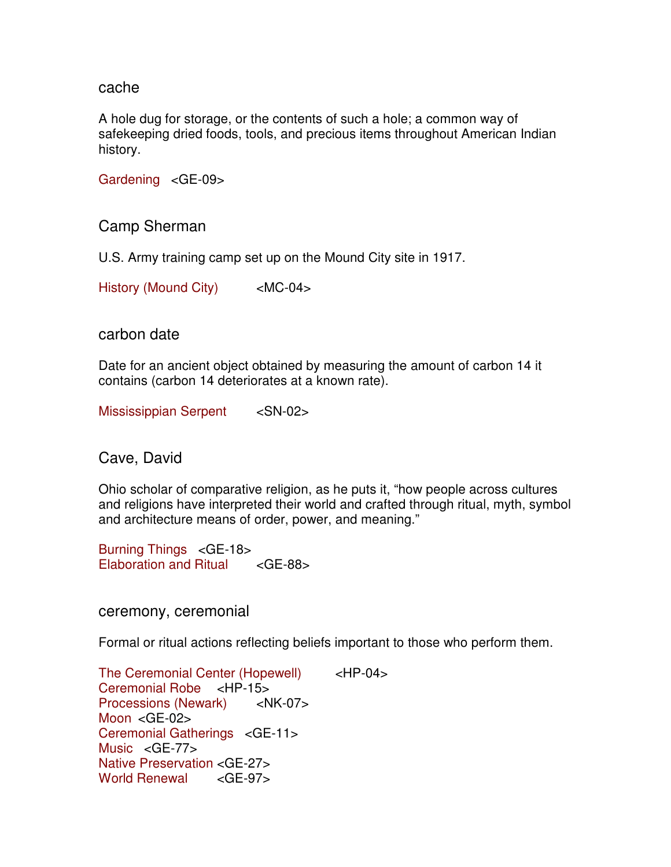#### cache

A hole dug for storage, or the contents of such a hole; a common way of safekeeping dried foods, tools, and precious items throughout American Indian history.

Gardening <GE-09>

Camp Sherman

U.S. Army training camp set up on the Mound City site in 1917.

History (Mound City) <MC-04>

### carbon date

Date for an ancient object obtained by measuring the amount of carbon 14 it contains (carbon 14 deteriorates at a known rate).

Mississippian Serpent <SN-02>

Cave, David

Ohio scholar of comparative religion, as he puts it, "how people across cultures and religions have interpreted their world and crafted through ritual, myth, symbol and architecture means of order, power, and meaning."

Burning Things <GE-18> Elaboration and Ritual <GE-88>

ceremony, ceremonial

Formal or ritual actions reflecting beliefs important to those who perform them.

The Ceremonial Center (Hopewell) <HP-04> Ceremonial Robe <HP-15> Processions (Newark) <NK-07> Moon <GE-02> Ceremonial Gatherings <GE-11> Music <GE-77> Native Preservation <GE-27> World Renewal <GE-97>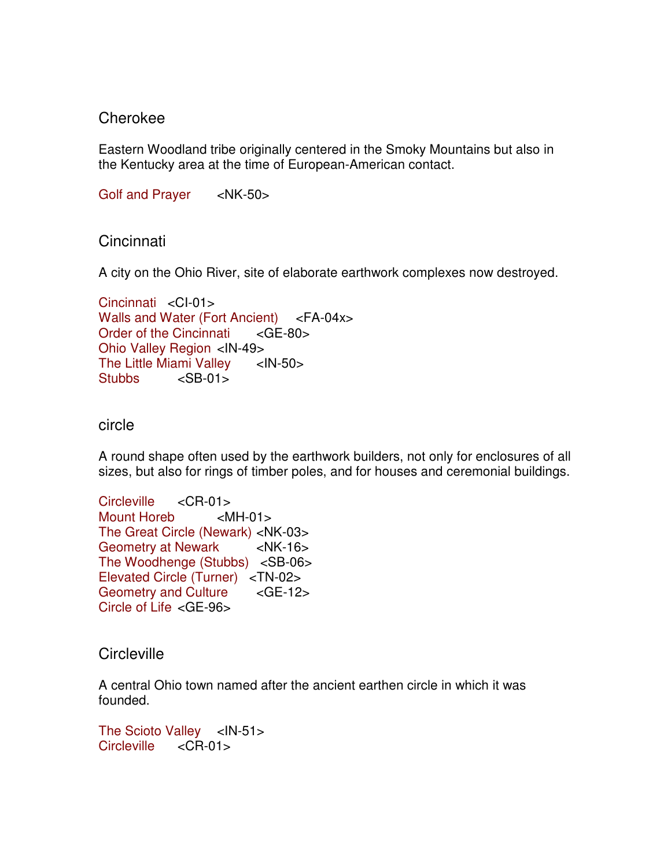### Cherokee

Eastern Woodland tribe originally centered in the Smoky Mountains but also in the Kentucky area at the time of European-American contact.

Golf and Prayer <NK-50>

Cincinnati

A city on the Ohio River, site of elaborate earthwork complexes now destroyed.

```
Cincinnati <CI-01> 
Walls and Water (Fort Ancient) <FA-04x><br>Order of the Cincinnati <GE-80>
Order of the Cincinnati
Ohio Valley Region <IN-49> 
The Little Miami Valley <IN-50>
Stubbs <SB-01>
```
### circle

A round shape often used by the earthwork builders, not only for enclosures of all sizes, but also for rings of timber poles, and for houses and ceremonial buildings.

```
Circleville <CR-01> 
Mount Horeb <MH-01> 
The Great Circle (Newark) <NK-03> 
Geometry at Newark <NK-16>
The Woodhenge (Stubbs) <SB-06> 
Elevated Circle (Turner) <TN-02> 
Geometry and Culture <GE-12>
Circle of Life <GE-96>
```
**Circleville** 

A central Ohio town named after the ancient earthen circle in which it was founded.

```
The Scioto Valley <IN-51><br>Circleville <CR-01>
Circleville
```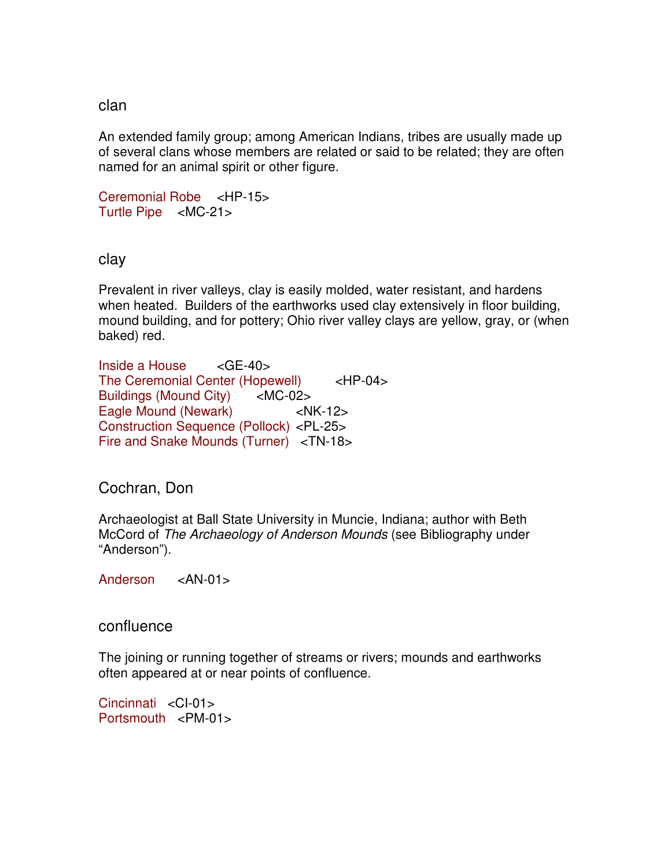#### clan

An extended family group; among American Indians, tribes are usually made up of several clans whose members are related or said to be related; they are often named for an animal spirit or other figure.

```
Ceremonial Robe <HP-15> 
Turtle Pipe <MC-21>
```
clay

Prevalent in river valleys, clay is easily molded, water resistant, and hardens when heated. Builders of the earthworks used clay extensively in floor building, mound building, and for pottery; Ohio river valley clays are yellow, gray, or (when baked) red.

Inside a House <GE-40> The Ceremonial Center (Hopewell) <HP-04> Buildings (Mound City) <MC-02> Eagle Mound (Newark) <NK-12> Construction Sequence (Pollock) <PL-25> Fire and Snake Mounds (Turner) <TN-18>

# Cochran, Don

Archaeologist at Ball State University in Muncie, Indiana; author with Beth McCord of The Archaeology of Anderson Mounds (see Bibliography under "Anderson").

Anderson <AN-01>

confluence

The joining or running together of streams or rivers; mounds and earthworks often appeared at or near points of confluence.

Cincinnati <CI-01> Portsmouth <PM-01>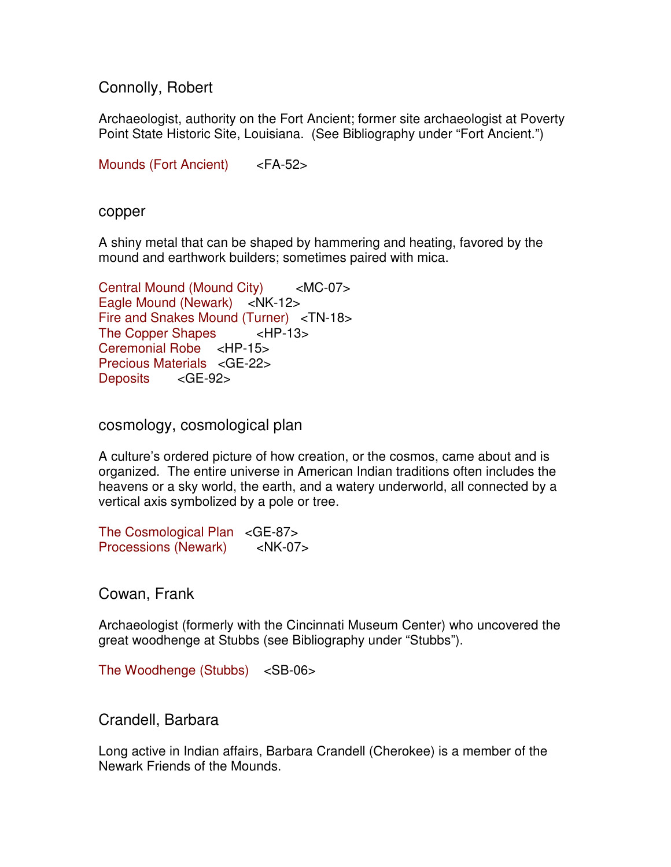Connolly, Robert

Archaeologist, authority on the Fort Ancient; former site archaeologist at Poverty Point State Historic Site, Louisiana. (See Bibliography under "Fort Ancient.")

Mounds (Fort Ancient) <FA-52>

copper

A shiny metal that can be shaped by hammering and heating, favored by the mound and earthwork builders; sometimes paired with mica.

```
Central Mound (Mound City) <MC-07> 
Eagle Mound (Newark) <NK-12>
Fire and Snakes Mound (Turner) <TN-18> 
The Copper Shapes <HP-13> 
Ceremonial Robe <HP-15> 
Precious Materials <GE-22> 
Deposits <GE-92>
```
cosmology, cosmological plan

A culture's ordered picture of how creation, or the cosmos, came about and is organized. The entire universe in American Indian traditions often includes the heavens or a sky world, the earth, and a watery underworld, all connected by a vertical axis symbolized by a pole or tree.

The Cosmological Plan <GE-87> Processions (Newark) <NK-07>

Cowan, Frank

Archaeologist (formerly with the Cincinnati Museum Center) who uncovered the great woodhenge at Stubbs (see Bibliography under "Stubbs").

The Woodhenge (Stubbs) <SB-06>

Crandell, Barbara

Long active in Indian affairs, Barbara Crandell (Cherokee) is a member of the Newark Friends of the Mounds.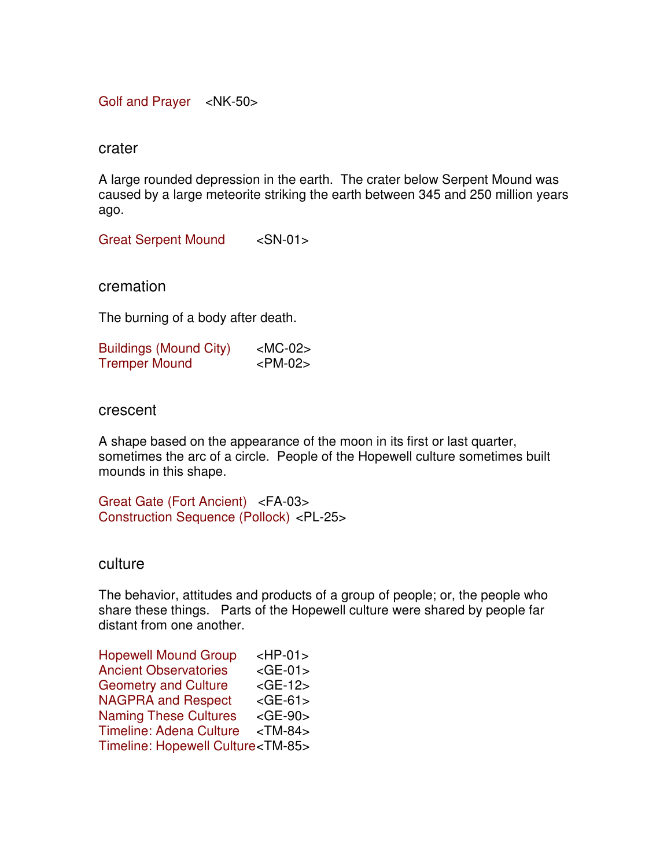Golf and Prayer <NK-50>

crater

A large rounded depression in the earth. The crater below Serpent Mound was caused by a large meteorite striking the earth between 345 and 250 million years ago.

Great Serpent Mound <SN-01>

cremation

The burning of a body after death.

| <b>Buildings (Mound City)</b> | $<$ MC-02 $>$ |
|-------------------------------|---------------|
| <b>Tremper Mound</b>          | $<$ PM-02 $>$ |

crescent

A shape based on the appearance of the moon in its first or last quarter, sometimes the arc of a circle. People of the Hopewell culture sometimes built mounds in this shape.

Great Gate (Fort Ancient) <FA-03> Construction Sequence (Pollock) <PL-25>

culture

The behavior, attitudes and products of a group of people; or, the people who share these things. Parts of the Hopewell culture were shared by people far distant from one another.

| <b>Hopewell Mound Group</b>                | $HP-01$       |
|--------------------------------------------|---------------|
| <b>Ancient Observatories</b>               | $<$ GE-01 $>$ |
| <b>Geometry and Culture</b>                | $<$ GE-12 $>$ |
| <b>NAGPRA and Respect</b>                  | $<$ GE-61 $>$ |
| <b>Naming These Cultures</b>               | $<$ GE-90 $>$ |
| <b>Timeline: Adena Culture</b>             | $<$ TM-84 $>$ |
| Timeline: Hopewell Culture <tm-85></tm-85> |               |
|                                            |               |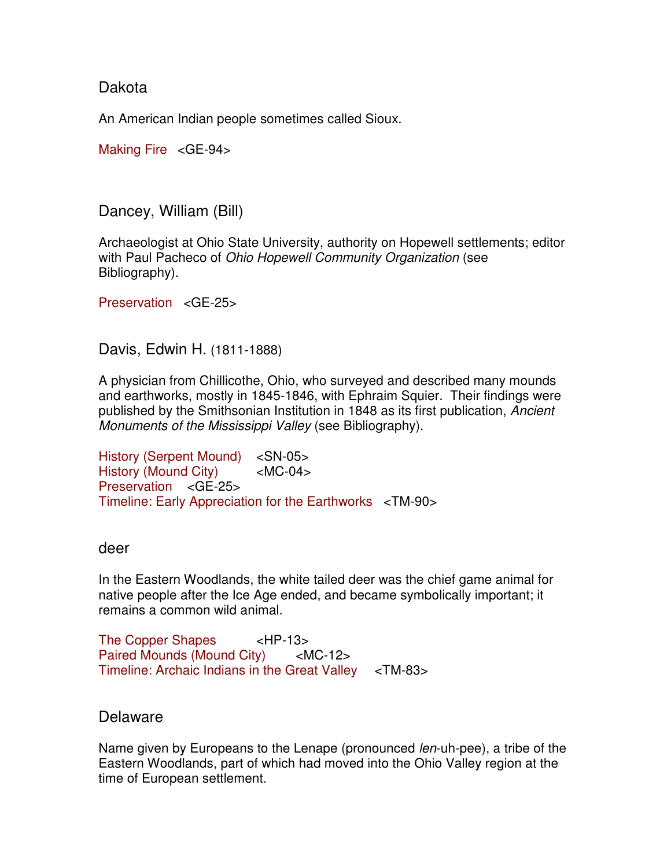# Dakota

An American Indian people sometimes called Sioux.

Making Fire <GE-94>

Dancey, William (Bill)

Archaeologist at Ohio State University, authority on Hopewell settlements; editor with Paul Pacheco of Ohio Hopewell Community Organization (see Bibliography).

Preservation <GE-25>

Davis, Edwin H. (1811-1888)

A physician from Chillicothe, Ohio, who surveyed and described many mounds and earthworks, mostly in 1845-1846, with Ephraim Squier. Their findings were published by the Smithsonian Institution in 1848 as its first publication, Ancient Monuments of the Mississippi Valley (see Bibliography).

History (Serpent Mound) <SN-05> History (Mound City) <MC-04> Preservation <GE-25> Timeline: Early Appreciation for the Earthworks <TM-90>

### deer

In the Eastern Woodlands, the white tailed deer was the chief game animal for native people after the Ice Age ended, and became symbolically important; it remains a common wild animal.

The Copper Shapes <HP-13> Paired Mounds (Mound City) <MC-12> Timeline: Archaic Indians in the Great Valley <TM-83>

# Delaware

Name given by Europeans to the Lenape (pronounced len-uh-pee), a tribe of the Eastern Woodlands, part of which had moved into the Ohio Valley region at the time of European settlement.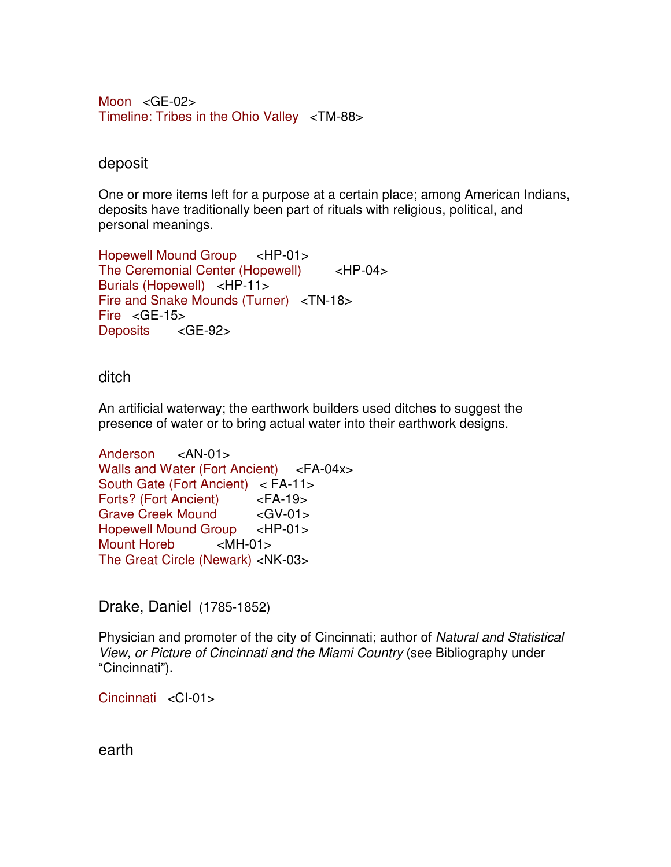Moon  $\leq$ GE-02 $>$ Timeline: Tribes in the Ohio Valley <TM-88>

## deposit

One or more items left for a purpose at a certain place; among American Indians, deposits have traditionally been part of rituals with religious, political, and personal meanings.

```
Hopewell Mound Group <HP-01> 
The Ceremonial Center (Hopewell) <HP-04> 
Burials (Hopewell) <HP-11> 
Fire and Snake Mounds (Turner) <TN-18>
Fire <GE-15> 
Deposits <GE-92>
```
### ditch

An artificial waterway; the earthwork builders used ditches to suggest the presence of water or to bring actual water into their earthwork designs.

```
Anderson <AN-01>
Walls and Water (Fort Ancient) <FA-04x>
South Gate (Fort Ancient) < FA-11> 
Forts? (Fort Ancient) <FA-19> 
Grave Creek Mound <GV-01>
Hopewell Mound Group <HP-01> 
Mount Horeb <MH-01> 
The Great Circle (Newark) <NK-03>
```
Drake, Daniel(1785-1852)

Physician and promoter of the city of Cincinnati; author of Natural and Statistical View, or Picture of Cincinnati and the Miami Country (see Bibliography under "Cincinnati").

Cincinnati <CI-01>

earth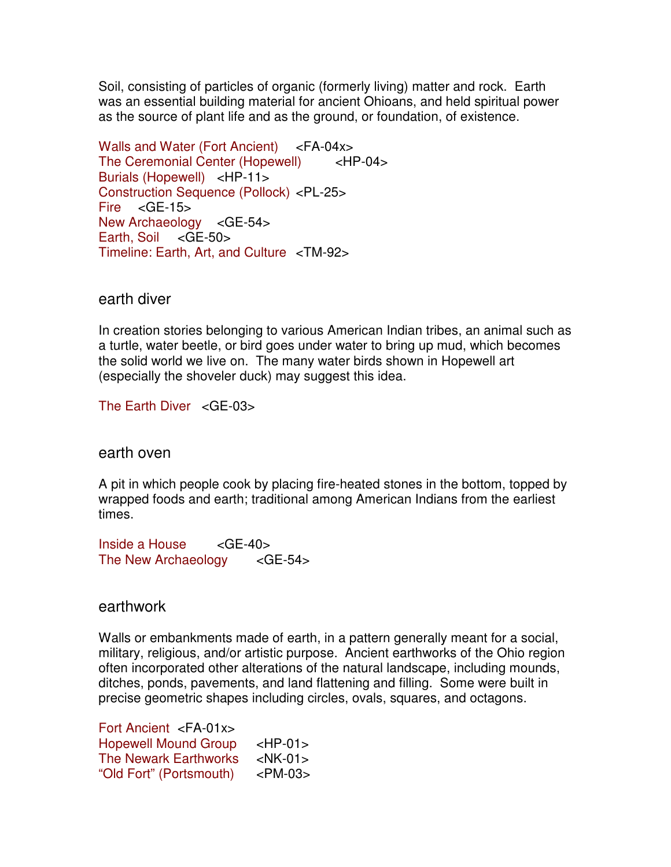Soil, consisting of particles of organic (formerly living) matter and rock. Earth was an essential building material for ancient Ohioans, and held spiritual power as the source of plant life and as the ground, or foundation, of existence.

Walls and Water (Fort Ancient) <FA-04x> The Ceremonial Center (Hopewell) <HP-04> Burials (Hopewell) <HP-11> Construction Sequence (Pollock) <PL-25> Fire  $\leq$  GE-15 $>$ New Archaeology <GE-54> Earth, Soil <GE-50> Timeline: Earth, Art, and Culture <TM-92>

#### earth diver

In creation stories belonging to various American Indian tribes, an animal such as a turtle, water beetle, or bird goes under water to bring up mud, which becomes the solid world we live on. The many water birds shown in Hopewell art (especially the shoveler duck) may suggest this idea.

The Earth Diver <GE-03>

#### earth oven

A pit in which people cook by placing fire-heated stones in the bottom, topped by wrapped foods and earth; traditional among American Indians from the earliest times.

 $Inside$  a House  $\leq$ GE-40 $>$ The New Archaeology <GE-54>

#### earthwork

Walls or embankments made of earth, in a pattern generally meant for a social, military, religious, and/or artistic purpose. Ancient earthworks of the Ohio region often incorporated other alterations of the natural landscape, including mounds, ditches, ponds, pavements, and land flattening and filling. Some were built in precise geometric shapes including circles, ovals, squares, and octagons.

Fort Ancient <FA-01x> Hopewell Mound Group <HP-01> The Newark Earthworks <NK-01> "Old Fort" (Portsmouth) <PM-03>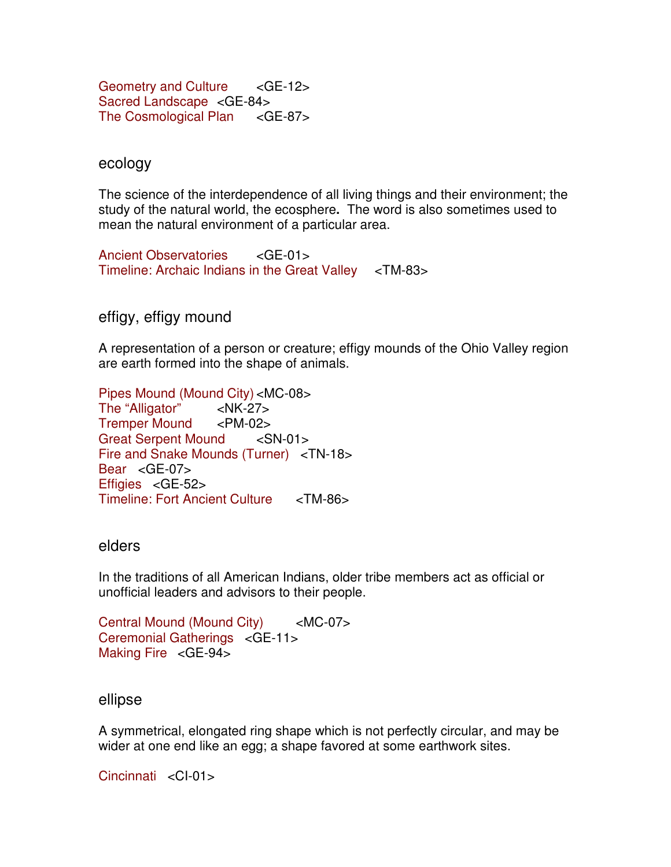Geometry and Culture <GE-12> Sacred Landscape <GE-84> The Cosmological Plan <GE-87>

#### ecology

The science of the interdependence of all living things and their environment; the study of the natural world, the ecosphere**.** The word is also sometimes used to mean the natural environment of a particular area.

Ancient Observatories <GE-01> Timeline: Archaic Indians in the Great Valley <TM-83>

effigy, effigy mound

A representation of a person or creature; effigy mounds of the Ohio Valley region are earth formed into the shape of animals.

Pipes Mound (Mound City) <MC-08> The "Alligator" <NK-27> Tremper Mound <PM-02> Great Serpent Mound <SN-01> Fire and Snake Mounds (Turner) <TN-18> Bear <GE-07> Effigies <GE-52> Timeline: Fort Ancient Culture <TM-86>

#### elders

In the traditions of all American Indians, older tribe members act as official or unofficial leaders and advisors to their people.

Central Mound (Mound City) <MC-07> Ceremonial Gatherings <GE-11> Making Fire <GE-94>

#### ellipse

A symmetrical, elongated ring shape which is not perfectly circular, and may be wider at one end like an egg; a shape favored at some earthwork sites.

Cincinnati <CI-01>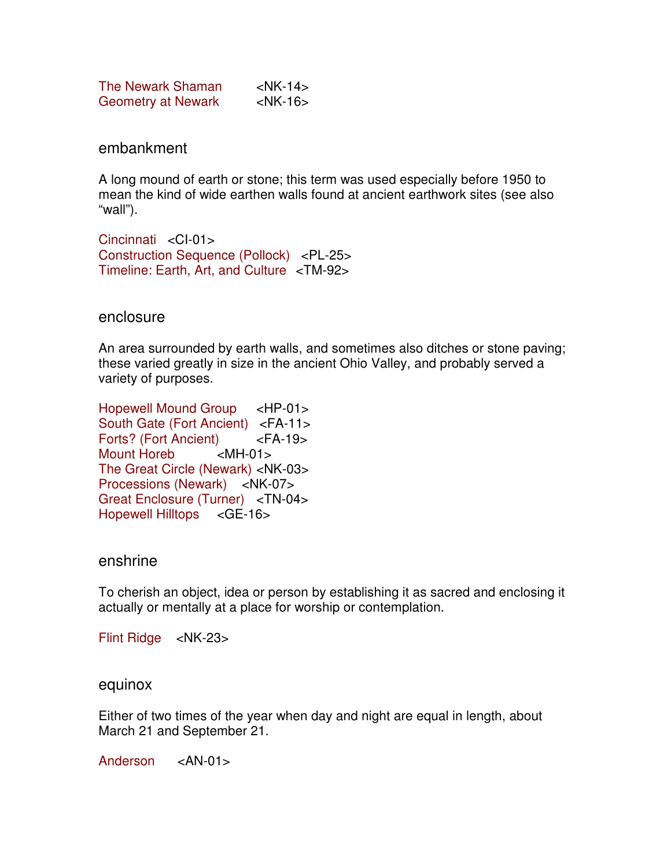| The Newark Shaman         | $\langle$ NK-14 $>$ |
|---------------------------|---------------------|
| <b>Geometry at Newark</b> | $<$ NK-16 $>$       |

embankment

A long mound of earth or stone; this term was used especially before 1950 to mean the kind of wide earthen walls found at ancient earthwork sites (see also "wall").

Cincinnati <CI-01> Construction Sequence (Pollock) <PL-25> Timeline: Earth, Art, and Culture <TM-92>

enclosure

An area surrounded by earth walls, and sometimes also ditches or stone paving; these varied greatly in size in the ancient Ohio Valley, and probably served a variety of purposes.

Hopewell Mound Group <HP-01> South Gate (Fort Ancient) <FA-11> Forts? (Fort Ancient) <FA-19><br>Mount Horeb <MH-01> Mount Horeb The Great Circle (Newark) <NK-03> Processions (Newark) <NK-07> Great Enclosure (Turner) <TN-04> Hopewell Hilltops <GE-16>

#### enshrine

To cherish an object, idea or person by establishing it as sacred and enclosing it actually or mentally at a place for worship or contemplation.

Flint Ridge <NK-23>

#### equinox

Either of two times of the year when day and night are equal in length, about March 21 and September 21.

Anderson <AN-01>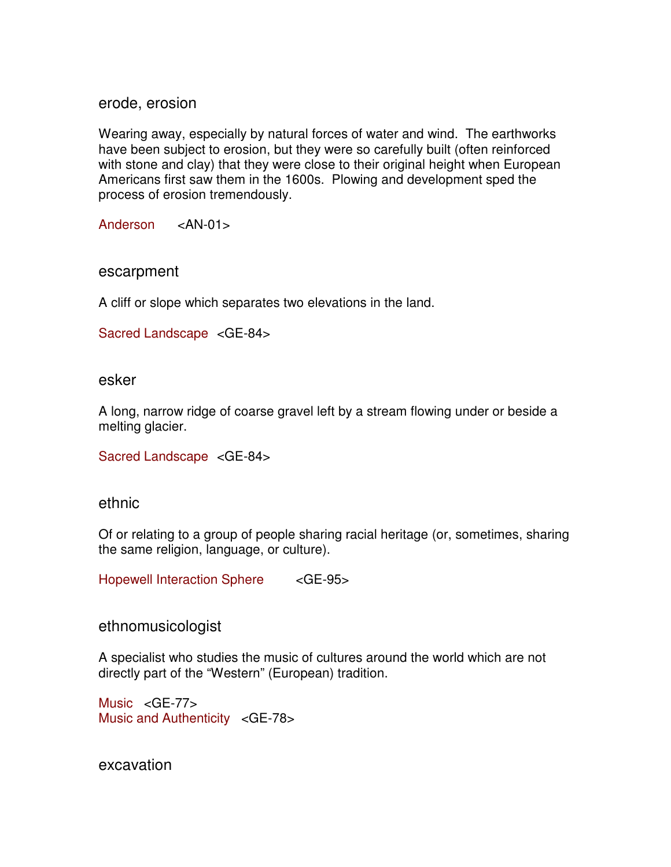erode, erosion

Wearing away, especially by natural forces of water and wind. The earthworks have been subject to erosion, but they were so carefully built (often reinforced with stone and clay) that they were close to their original height when European Americans first saw them in the 1600s. Plowing and development sped the process of erosion tremendously.

Anderson <AN-01>

#### escarpment

A cliff or slope which separates two elevations in the land.

```
Sacred Landscape <GE-84>
```
#### esker

A long, narrow ridge of coarse gravel left by a stream flowing under or beside a melting glacier.

```
Sacred Landscape <GE-84>
```
#### ethnic

Of or relating to a group of people sharing racial heritage (or, sometimes, sharing the same religion, language, or culture).

Hopewell Interaction Sphere <GE-95>

ethnomusicologist

A specialist who studies the music of cultures around the world which are not directly part of the "Western" (European) tradition.

Music <GE-77> Music and Authenticity <GE-78>

excavation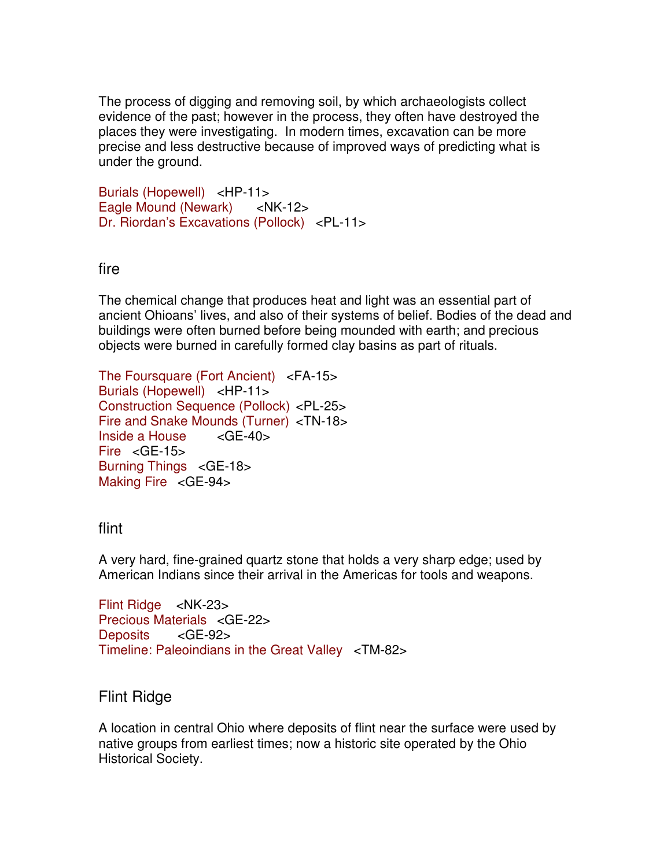The process of digging and removing soil, by which archaeologists collect evidence of the past; however in the process, they often have destroyed the places they were investigating. In modern times, excavation can be more precise and less destructive because of improved ways of predicting what is under the ground.

Burials (Hopewell) <HP-11> Eagle Mound (Newark) <NK-12> Dr. Riordan's Excavations (Pollock) <PL-11>

# fire

The chemical change that produces heat and light was an essential part of ancient Ohioans' lives, and also of their systems of belief. Bodies of the dead and buildings were often burned before being mounded with earth; and precious objects were burned in carefully formed clay basins as part of rituals.

The Foursquare (Fort Ancient) <FA-15> Burials (Hopewell) <HP-11> Construction Sequence (Pollock) <PL-25> Fire and Snake Mounds (Turner) <TN-18>  $Inside$  a House  $\leq$ GE-40 $>$ Fire <GE-15> Burning Things <GE-18> Making Fire <GE-94>

# flint

A very hard, fine-grained quartz stone that holds a very sharp edge; used by American Indians since their arrival in the Americas for tools and weapons.

```
Flint Ridge <NK-23> 
Precious Materials <GE-22>
Deposits <GE-92>
Timeline: Paleoindians in the Great Valley <TM-82>
```
# Flint Ridge

A location in central Ohio where deposits of flint near the surface were used by native groups from earliest times; now a historic site operated by the Ohio Historical Society.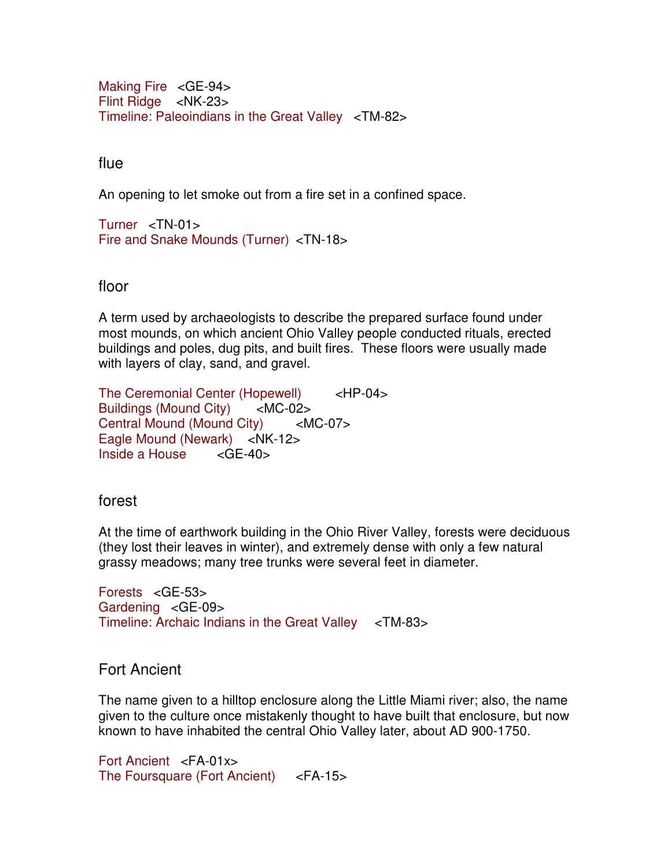Making Fire <GE-94> Flint Ridge <NK-23> Timeline: Paleoindians in the Great Valley <TM-82>

flue

An opening to let smoke out from a fire set in a confined space.

Turner <TN-01> Fire and Snake Mounds (Turner) <TN-18>

floor

A term used by archaeologists to describe the prepared surface found under most mounds, on which ancient Ohio Valley people conducted rituals, erected buildings and poles, dug pits, and built fires. These floors were usually made with layers of clay, sand, and gravel.

The Ceremonial Center (Hopewell) <HP-04> Buildings (Mound City) <MC-02> Central Mound (Mound City) <MC-07> Eagle Mound (Newark) <NK-12>  $Inside$  a House  $\leq$ GF-40 $>$ 

forest

At the time of earthwork building in the Ohio River Valley, forests were deciduous (they lost their leaves in winter), and extremely dense with only a few natural grassy meadows; many tree trunks were several feet in diameter.

Forests <GE-53> Gardening <GE-09> Timeline: Archaic Indians in the Great Valley <TM-83>

Fort Ancient

The name given to a hilltop enclosure along the Little Miami river; also, the name given to the culture once mistakenly thought to have built that enclosure, but now known to have inhabited the central Ohio Valley later, about AD 900-1750.

Fort Ancient <FA-01x> The Foursquare (Fort Ancient) <FA-15>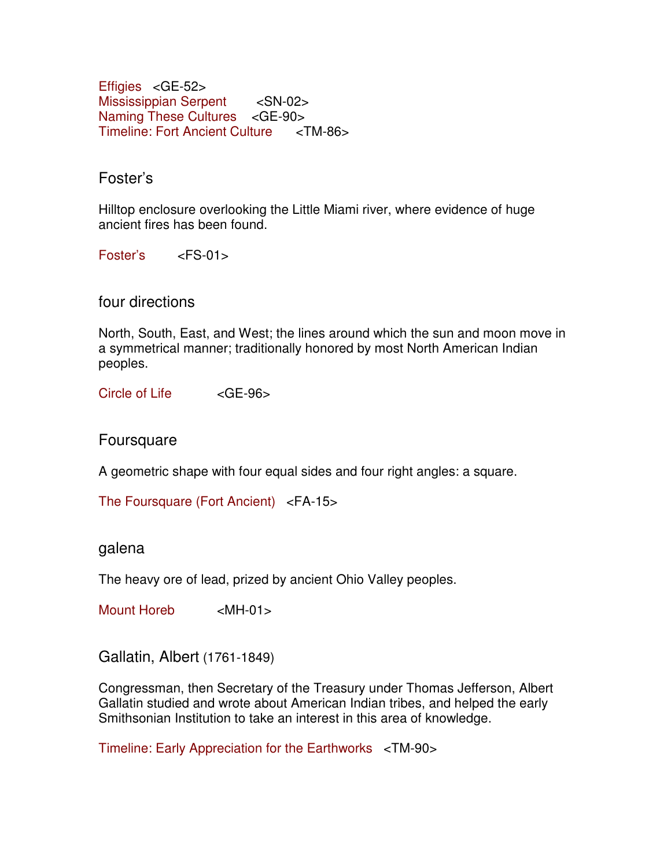Effigies <GE-52> Mississippian Serpent <SN-02> Naming These Cultures <GE-90> Timeline: Fort Ancient Culture <TM-86>

# Foster's

Hilltop enclosure overlooking the Little Miami river, where evidence of huge ancient fires has been found.

Foster's <FS-01>

four directions

North, South, East, and West; the lines around which the sun and moon move in a symmetrical manner; traditionally honored by most North American Indian peoples.

Circle of Life <GE-96>

Foursquare

A geometric shape with four equal sides and four right angles: a square.

The Foursquare (Fort Ancient) <FA-15>

#### galena

The heavy ore of lead, prized by ancient Ohio Valley peoples.

Mount Horeb <MH-01>

Gallatin, Albert (1761-1849)

Congressman, then Secretary of the Treasury under Thomas Jefferson, Albert Gallatin studied and wrote about American Indian tribes, and helped the early Smithsonian Institution to take an interest in this area of knowledge.

Timeline: Early Appreciation for the Earthworks <TM-90>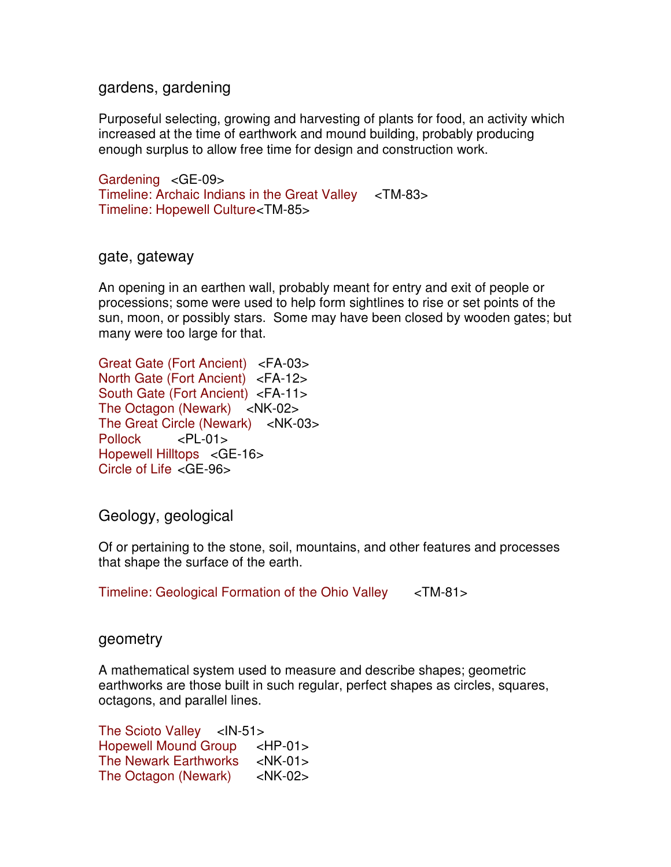### gardens, gardening

Purposeful selecting, growing and harvesting of plants for food, an activity which increased at the time of earthwork and mound building, probably producing enough surplus to allow free time for design and construction work.

Gardening <GE-09> Timeline: Archaic Indians in the Great Valley <TM-83> Timeline: Hopewell Culture <TM-85>

#### gate, gateway

An opening in an earthen wall, probably meant for entry and exit of people or processions; some were used to help form sightlines to rise or set points of the sun, moon, or possibly stars. Some may have been closed by wooden gates; but many were too large for that.

Great Gate (Fort Ancient) <FA-03> North Gate (Fort Ancient) <FA-12> South Gate (Fort Ancient) <FA-11> The Octagon (Newark) <NK-02> The Great Circle (Newark) <NK-03> Pollock <PL-01> Hopewell Hilltops <GE-16> Circle of Life <GE-96>

Geology, geological

Of or pertaining to the stone, soil, mountains, and other features and processes that shape the surface of the earth.

Timeline: Geological Formation of the Ohio Valley <TM-81>

### geometry

A mathematical system used to measure and describe shapes; geometric earthworks are those built in such regular, perfect shapes as circles, squares, octagons, and parallel lines.

The Scioto Valley  $\lt$ IN-51> Hopewell Mound Group <HP-01> The Newark Earthworks <NK-01> The Octagon (Newark) <NK-02>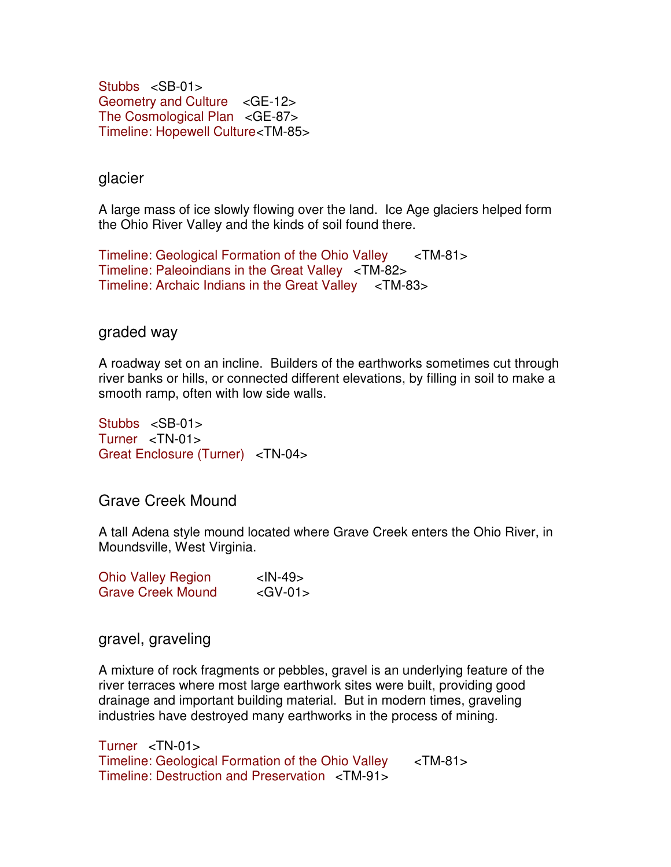Stubbs <SB-01> Geometry and Culture <GE-12> The Cosmological Plan <GE-87> Timeline: Hopewell Culture <TM-85>

glacier

A large mass of ice slowly flowing over the land. Ice Age glaciers helped form the Ohio River Valley and the kinds of soil found there.

Timeline: Geological Formation of the Ohio Valley <TM-81> Timeline: Paleoindians in the Great Valley <TM-82> Timeline: Archaic Indians in the Great Valley <TM-83>

### graded way

A roadway set on an incline. Builders of the earthworks sometimes cut through river banks or hills, or connected different elevations, by filling in soil to make a smooth ramp, often with low side walls.

Stubbs <SB-01> Turner <TN-01> Great Enclosure (Turner) <TN-04>

Grave Creek Mound

A tall Adena style mound located where Grave Creek enters the Ohio River, in Moundsville, West Virginia.

| <b>Ohio Valley Region</b> | $<$ IN-49 $>$ |
|---------------------------|---------------|
| <b>Grave Creek Mound</b>  | $<$ GV-01 $>$ |

### gravel, graveling

A mixture of rock fragments or pebbles, gravel is an underlying feature of the river terraces where most large earthwork sites were built, providing good drainage and important building material. But in modern times, graveling industries have destroyed many earthworks in the process of mining.

Turner <TN-01> Timeline: Geological Formation of the Ohio Valley <TM-81> Timeline: Destruction and Preservation <TM-91>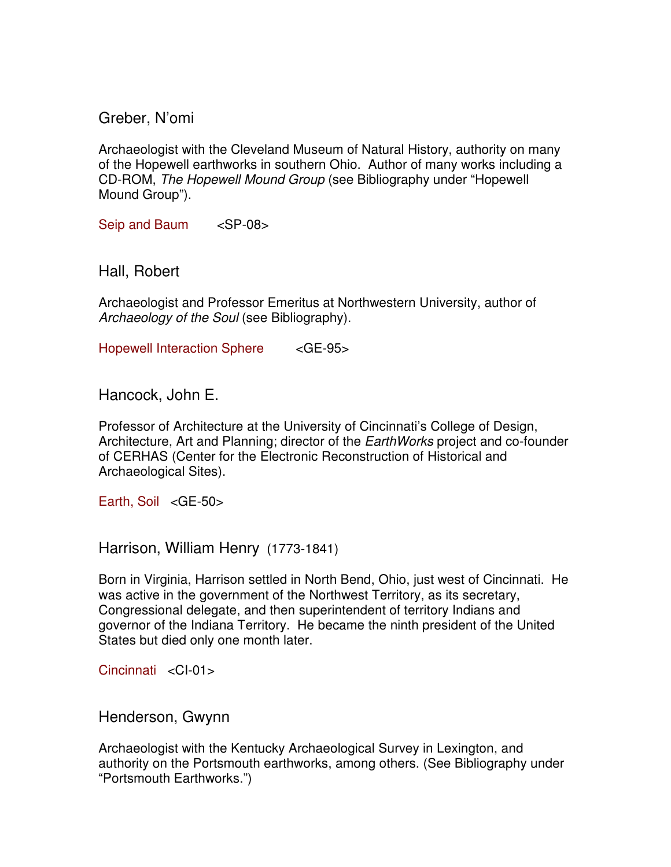Greber, N'omi

Archaeologist with the Cleveland Museum of Natural History, authority on many of the Hopewell earthworks in southern Ohio. Author of many works including a CD-ROM, The Hopewell Mound Group (see Bibliography under "Hopewell Mound Group").

Seip and Baum <SP-08>

Hall, Robert

Archaeologist and Professor Emeritus at Northwestern University, author of Archaeology of the Soul (see Bibliography).

Hopewell Interaction Sphere <GE-95>

Hancock, John E.

Professor of Architecture at the University of Cincinnati's College of Design, Architecture, Art and Planning; director of the *EarthWorks* project and co-founder of CERHAS (Center for the Electronic Reconstruction of Historical and Archaeological Sites).

Earth, Soil <GE-50>

Harrison, William Henry(1773-1841)

Born in Virginia, Harrison settled in North Bend, Ohio, just west of Cincinnati. He was active in the government of the Northwest Territory, as its secretary, Congressional delegate, and then superintendent of territory Indians and governor of the Indiana Territory. He became the ninth president of the United States but died only one month later.

Cincinnati <CI-01>

Henderson, Gwynn

Archaeologist with the Kentucky Archaeological Survey in Lexington, and authority on the Portsmouth earthworks, among others. (See Bibliography under "Portsmouth Earthworks.")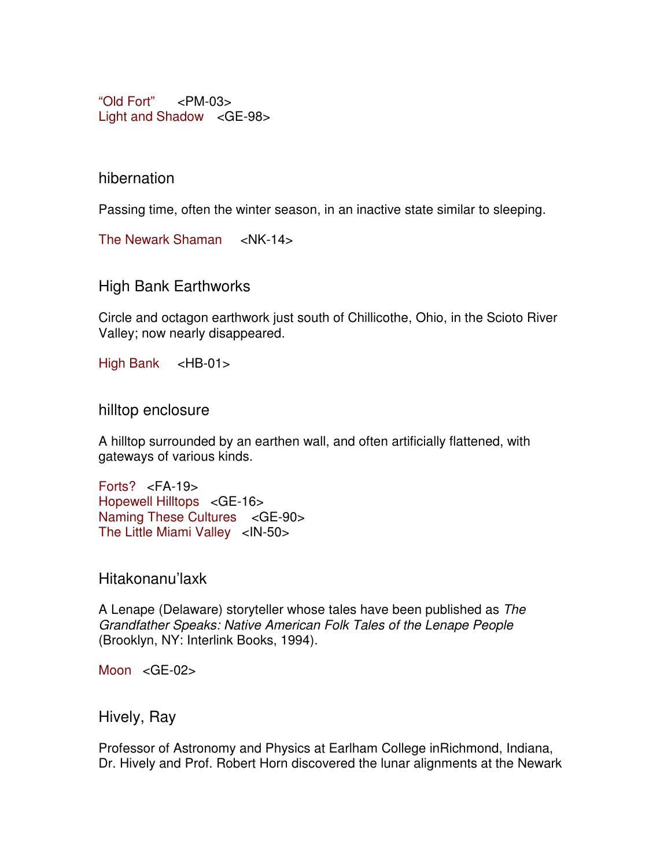"Old Fort" <PM-03> Light and Shadow <GE-98>

hibernation

Passing time, often the winter season, in an inactive state similar to sleeping.

The Newark Shaman <NK-14>

High Bank Earthworks

Circle and octagon earthwork just south of Chillicothe, Ohio, in the Scioto River Valley; now nearly disappeared.

High Bank <HB-01>

hilltop enclosure

A hilltop surrounded by an earthen wall, and often artificially flattened, with gateways of various kinds.

Forts? <FA-19> Hopewell Hilltops <GE-16> Naming These Cultures <GE-90> The Little Miami Valley <IN-50>

Hitakonanu'laxk

A Lenape (Delaware) storyteller whose tales have been published as The Grandfather Speaks: Native American Folk Tales of the Lenape People (Brooklyn, NY: Interlink Books, 1994).

Moon <GE-02>

Hively, Ray

Professor of Astronomy and Physics at Earlham College inRichmond, Indiana, Dr. Hively and Prof. Robert Horn discovered the lunar alignments at the Newark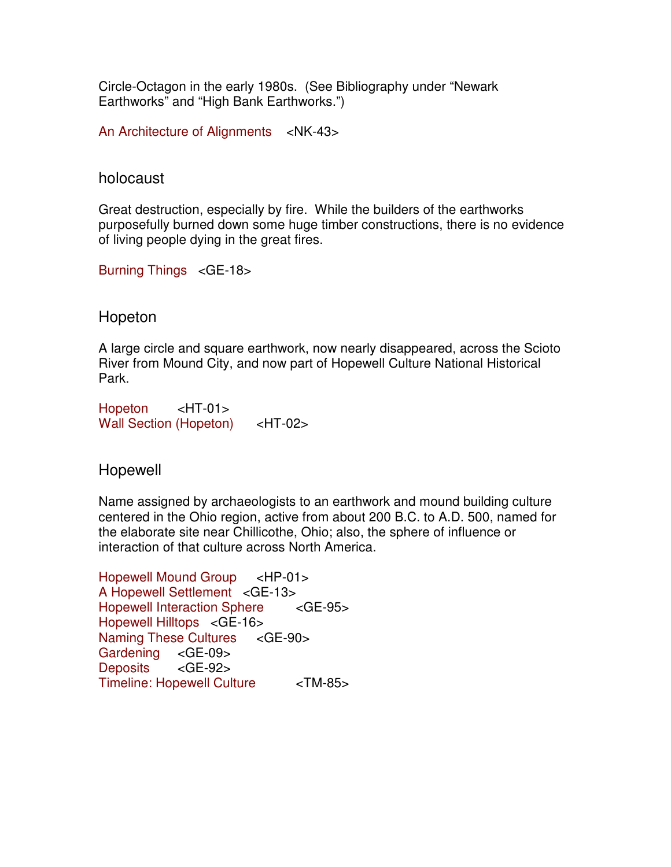Circle-Octagon in the early 1980s. (See Bibliography under "Newark Earthworks" and "High Bank Earthworks.")

An Architecture of Alignments <NK-43>

#### holocaust

Great destruction, especially by fire. While the builders of the earthworks purposefully burned down some huge timber constructions, there is no evidence of living people dying in the great fires.

Burning Things <GE-18>

### Hopeton

A large circle and square earthwork, now nearly disappeared, across the Scioto River from Mound City, and now part of Hopewell Culture National Historical Park.

Hopeton <HT-01> Wall Section (Hopeton) <HT-02>

### Hopewell

Name assigned by archaeologists to an earthwork and mound building culture centered in the Ohio region, active from about 200 B.C. to A.D. 500, named for the elaborate site near Chillicothe, Ohio; also, the sphere of influence or interaction of that culture across North America.

Hopewell Mound Group <HP-01> A Hopewell Settlement <GE-13> Hopewell Interaction Sphere <GE-95> Hopewell Hilltops <GE-16> Naming These Cultures <GE-90> Gardening <GE-09> Deposits <GE-92> Timeline: Hopewell Culture <TM-85>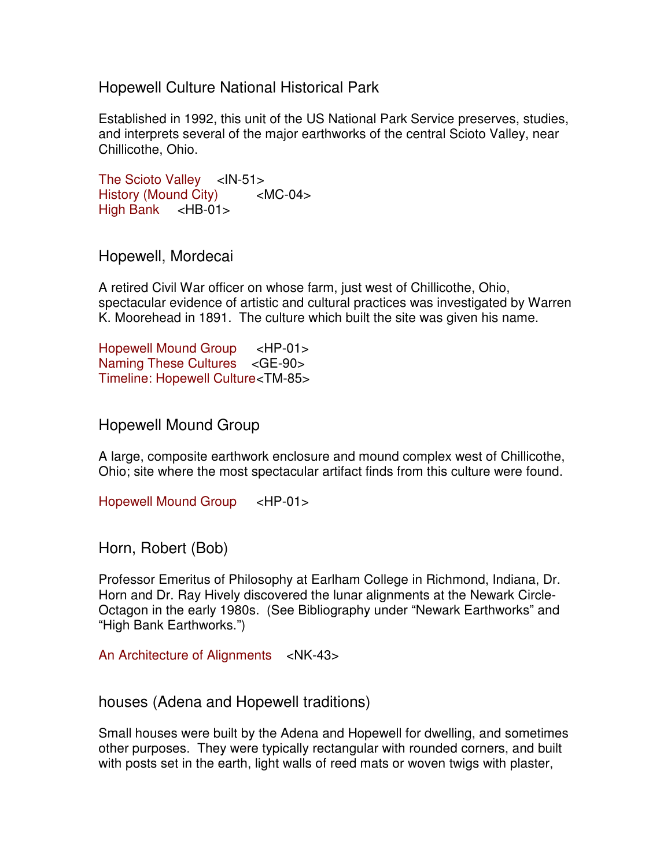Hopewell Culture National Historical Park

Established in 1992, this unit of the US National Park Service preserves, studies, and interprets several of the major earthworks of the central Scioto Valley, near Chillicothe, Ohio.

The Scioto Valley <IN-51> History (Mound City) <MC-04> High Bank <HB-01>

Hopewell, Mordecai

A retired Civil War officer on whose farm, just west of Chillicothe, Ohio, spectacular evidence of artistic and cultural practices was investigated by Warren K. Moorehead in 1891. The culture which built the site was given his name.

Hopewell Mound Group <HP-01> Naming These Cultures <GE-90> Timeline: Hopewell Culture <TM-85>

Hopewell Mound Group

A large, composite earthwork enclosure and mound complex west of Chillicothe, Ohio; site where the most spectacular artifact finds from this culture were found.

Hopewell Mound Group <HP-01>

Horn, Robert (Bob)

Professor Emeritus of Philosophy at Earlham College in Richmond, Indiana, Dr. Horn and Dr. Ray Hively discovered the lunar alignments at the Newark Circle-Octagon in the early 1980s. (See Bibliography under "Newark Earthworks" and "High Bank Earthworks.")

An Architecture of Alignments <NK-43>

houses (Adena and Hopewell traditions)

Small houses were built by the Adena and Hopewell for dwelling, and sometimes other purposes. They were typically rectangular with rounded corners, and built with posts set in the earth, light walls of reed mats or woven twigs with plaster,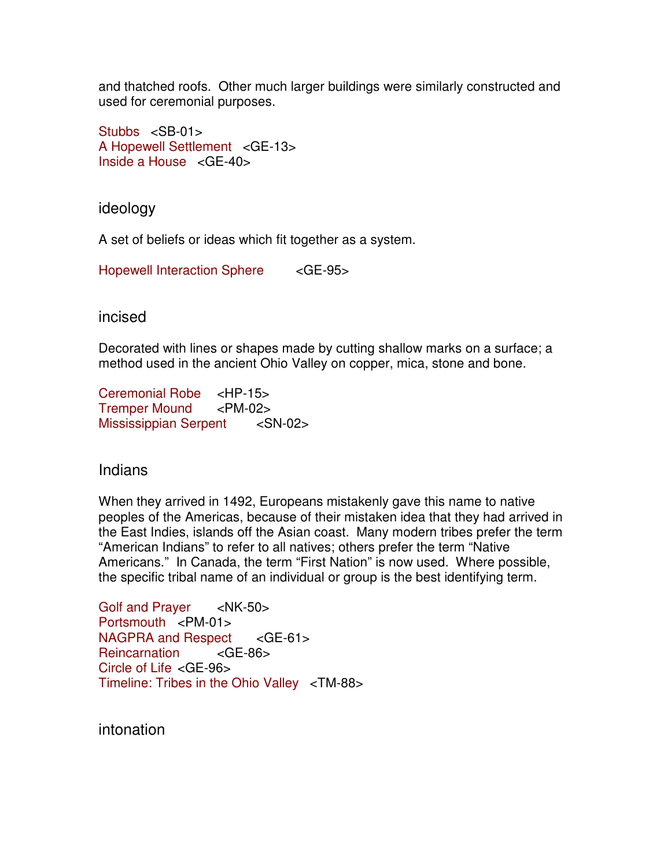and thatched roofs. Other much larger buildings were similarly constructed and used for ceremonial purposes.

Stubbs <SB-01> A Hopewell Settlement <GE-13> Inside a House <GE-40>

ideology

A set of beliefs or ideas which fit together as a system.

Hopewell Interaction Sphere <GE-95>

incised

Decorated with lines or shapes made by cutting shallow marks on a surface; a method used in the ancient Ohio Valley on copper, mica, stone and bone.

Ceremonial Robe <HP-15> Tremper Mound <PM-02> Mississippian Serpent <SN-02>

# Indians

When they arrived in 1492, Europeans mistakenly gave this name to native peoples of the Americas, because of their mistaken idea that they had arrived in the East Indies, islands off the Asian coast. Many modern tribes prefer the term "American Indians" to refer to all natives; others prefer the term "Native Americans." In Canada, the term "First Nation" is now used. Where possible, the specific tribal name of an individual or group is the best identifying term.

Golf and Prayer <NK-50> Portsmouth <PM-01> NAGPRA and Respect <GE-61> Reincarnation <GE-86> Circle of Life <GE-96> Timeline: Tribes in the Ohio Valley <TM-88>

intonation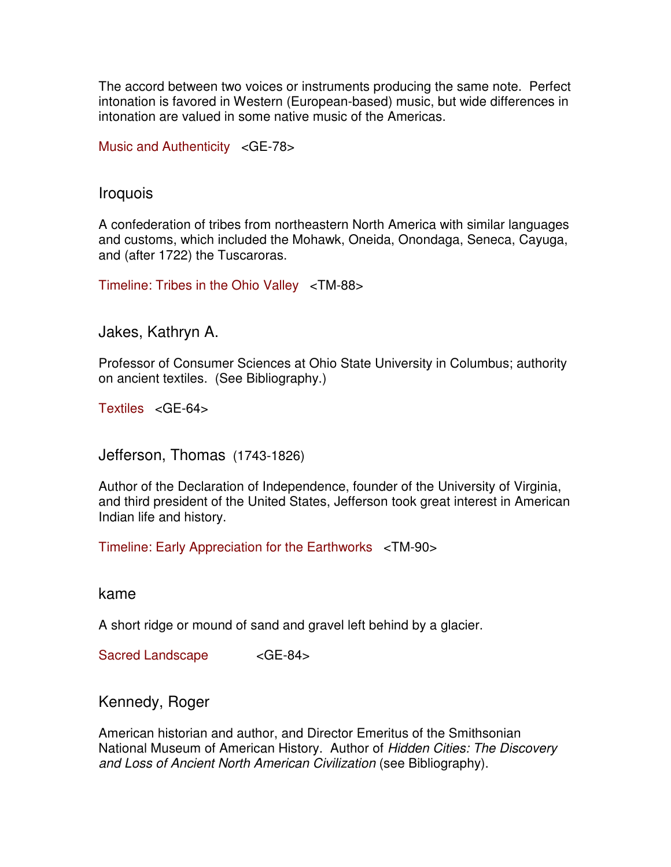The accord between two voices or instruments producing the same note. Perfect intonation is favored in Western (European-based) music, but wide differences in intonation are valued in some native music of the Americas.

Music and Authenticity <GE-78>

### Iroquois

A confederation of tribes from northeastern North America with similar languages and customs, which included the Mohawk, Oneida, Onondaga, Seneca, Cayuga, and (after 1722) the Tuscaroras.

Timeline: Tribes in the Ohio Valley <TM-88>

Jakes, Kathryn A.

Professor of Consumer Sciences at Ohio State University in Columbus; authority on ancient textiles. (See Bibliography.)

Textiles <GE-64>

Jefferson, Thomas(1743-1826)

Author of the Declaration of Independence, founder of the University of Virginia, and third president of the United States, Jefferson took great interest in American Indian life and history.

Timeline: Early Appreciation for the Earthworks <TM-90>

kame

A short ridge or mound of sand and gravel left behind by a glacier.

Sacred Landscape <GE-84>

Kennedy, Roger

American historian and author, and Director Emeritus of the Smithsonian National Museum of American History. Author of Hidden Cities: The Discovery and Loss of Ancient North American Civilization (see Bibliography).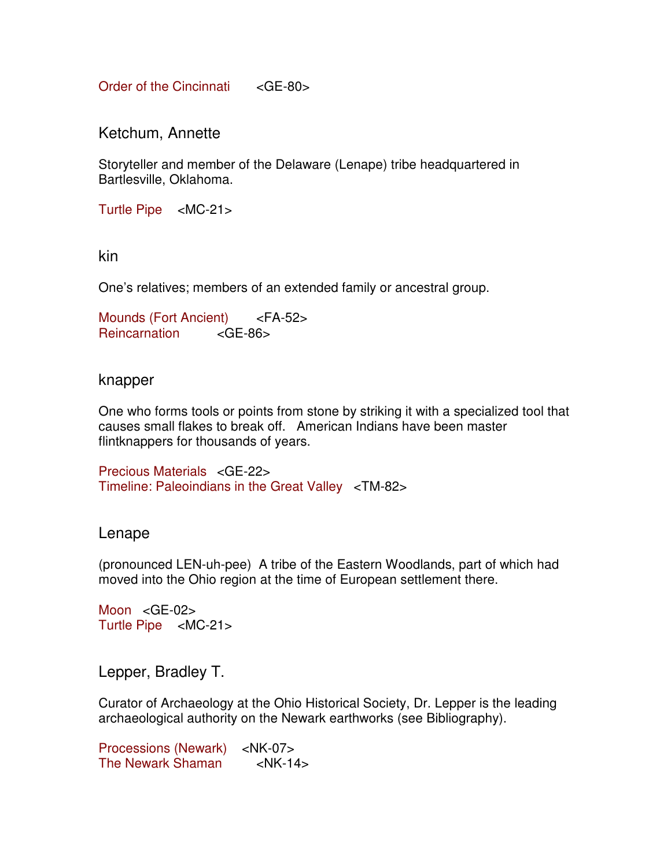Order of the Cincinnati <GE-80>

Ketchum, Annette

Storyteller and member of the Delaware (Lenape) tribe headquartered in Bartlesville, Oklahoma.

Turtle Pipe <MC-21>

kin

One's relatives; members of an extended family or ancestral group.

Mounds (Fort Ancient) <FA-52> Reincarnation <GE-86>

knapper

One who forms tools or points from stone by striking it with a specialized tool that causes small flakes to break off. American Indians have been master flintknappers for thousands of years.

Precious Materials <GE-22> Timeline: Paleoindians in the Great Valley <TM-82>

### Lenape

(pronounced LEN-uh-pee) A tribe of the Eastern Woodlands, part of which had moved into the Ohio region at the time of European settlement there.

Moon <GE-02> Turtle Pipe <MC-21>

Lepper, Bradley T.

Curator of Archaeology at the Ohio Historical Society, Dr. Lepper is the leading archaeological authority on the Newark earthworks (see Bibliography).

Processions (Newark) <NK-07> The Newark Shaman <NK-14>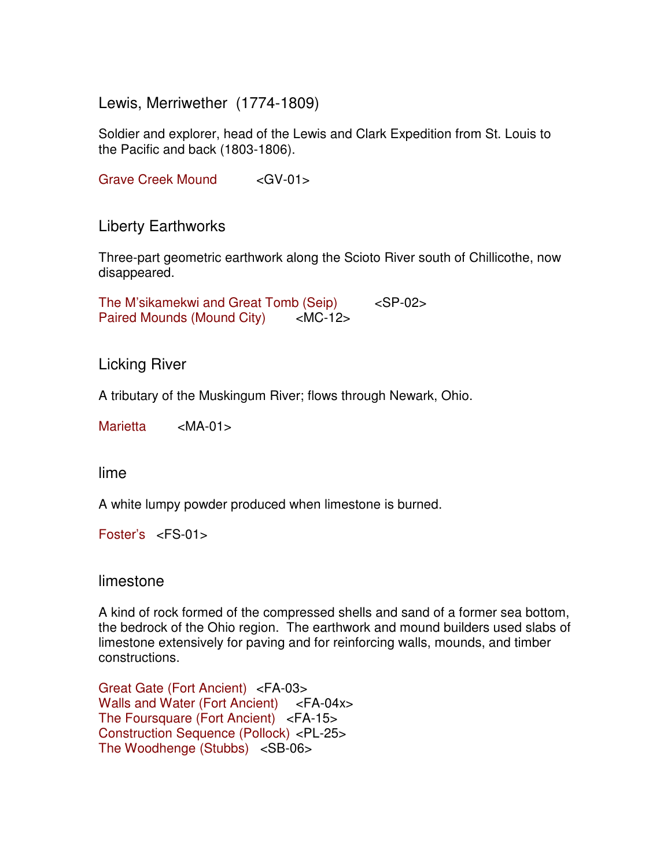Lewis, Merriwether (1774-1809)

Soldier and explorer, head of the Lewis and Clark Expedition from St. Louis to the Pacific and back (1803-1806).

Grave Creek Mound <GV-01>

Liberty Earthworks

Three-part geometric earthwork along the Scioto River south of Chillicothe, now disappeared.

The M'sikamekwi and Great Tomb (Seip) <SP-02> Paired Mounds (Mound City) <MC-12>

Licking River

A tributary of the Muskingum River; flows through Newark, Ohio.

Marietta <MA-01>

lime

A white lumpy powder produced when limestone is burned.

Foster's <FS-01>

limestone

A kind of rock formed of the compressed shells and sand of a former sea bottom, the bedrock of the Ohio region. The earthwork and mound builders used slabs of limestone extensively for paving and for reinforcing walls, mounds, and timber constructions.

Great Gate (Fort Ancient) <FA-03> Walls and Water (Fort Ancient) <FA-04x> The Foursquare (Fort Ancient) <FA-15> Construction Sequence (Pollock) <PL-25> The Woodhenge (Stubbs) <SB-06>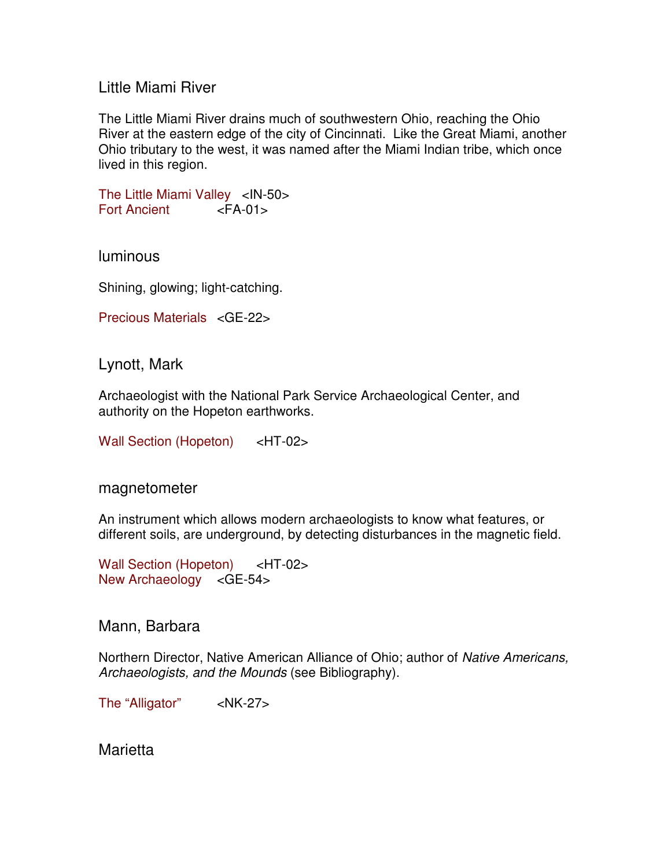### Little Miami River

The Little Miami River drains much of southwestern Ohio, reaching the Ohio River at the eastern edge of the city of Cincinnati. Like the Great Miami, another Ohio tributary to the west, it was named after the Miami Indian tribe, which once lived in this region.

The Little Miami Valley <IN-50> Fort Ancient <FA-01>

luminous

Shining, glowing; light-catching.

```
Precious Materials <GE-22>
```
Lynott, Mark

Archaeologist with the National Park Service Archaeological Center, and authority on the Hopeton earthworks.

Wall Section (Hopeton) <HT-02>

magnetometer

An instrument which allows modern archaeologists to know what features, or different soils, are underground, by detecting disturbances in the magnetic field.

Wall Section (Hopeton) <HT-02> New Archaeology <GE-54>

Mann, Barbara

Northern Director, Native American Alliance of Ohio; author of Native Americans, Archaeologists, and the Mounds (see Bibliography).

The "Alligator" <NK-27>

Marietta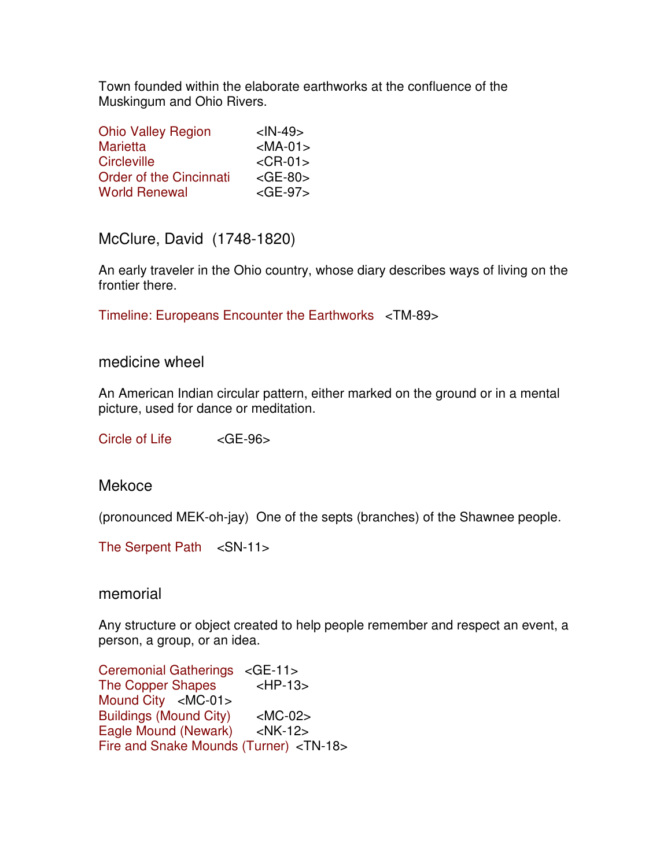Town founded within the elaborate earthworks at the confluence of the Muskingum and Ohio Rivers.

| <b>Ohio Valley Region</b>      | $<$ IN-49 $>$ |
|--------------------------------|---------------|
| <b>Marietta</b>                | $<$ MA-01 $>$ |
| <b>Circleville</b>             | $<$ CR-01 $>$ |
| <b>Order of the Cincinnati</b> | $<$ GE-80 $>$ |
| <b>World Renewal</b>           | $<$ GE-97 $>$ |

McClure, David (1748-1820)

An early traveler in the Ohio country, whose diary describes ways of living on the frontier there.

Timeline: Europeans Encounter the Earthworks <TM-89>

### medicine wheel

An American Indian circular pattern, either marked on the ground or in a mental picture, used for dance or meditation.

Circle of Life <GE-96>

# Mekoce

(pronounced MEK-oh-jay) One of the septs (branches) of the Shawnee people.

The Serpent Path <SN-11>

memorial

Any structure or object created to help people remember and respect an event, a person, a group, or an idea. 

Ceremonial Gatherings <GE-11> The Copper Shapes <HP-13> Mound City <MC-01> Buildings (Mound City) <MC-02> Eagle Mound (Newark) <NK-12> Fire and Snake Mounds (Turner) <TN-18>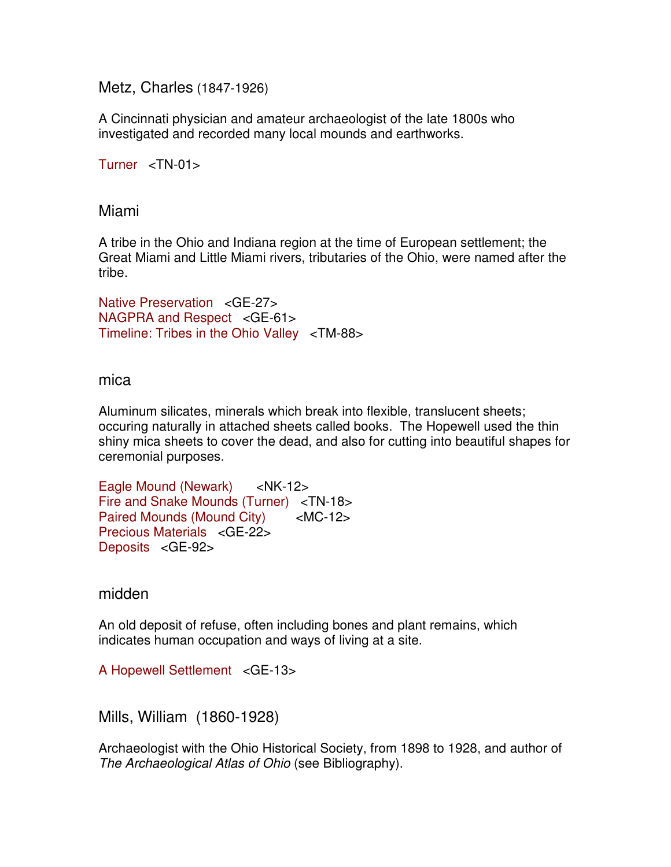Metz, Charles (1847-1926)

A Cincinnati physician and amateur archaeologist of the late 1800s who investigated and recorded many local mounds and earthworks.

Turner <TN-01>

Miami

A tribe in the Ohio and Indiana region at the time of European settlement; the Great Miami and Little Miami rivers, tributaries of the Ohio, were named after the tribe.

Native Preservation <GE-27> NAGPRA and Respect <GE-61> Timeline: Tribes in the Ohio Valley <TM-88>

### mica

Aluminum silicates, minerals which break into flexible, translucent sheets; occuring naturally in attached sheets called books. The Hopewell used the thin shiny mica sheets to cover the dead, and also for cutting into beautiful shapes for ceremonial purposes.

Eagle Mound (Newark) <NK-12> Fire and Snake Mounds (Turner) <TN-18> Paired Mounds (Mound City) <MC-12> Precious Materials <GE-22> Deposits <GE-92>

midden

An old deposit of refuse, often including bones and plant remains, which indicates human occupation and ways of living at a site.

A Hopewell Settlement <GE-13>

Mills, William (1860-1928)

Archaeologist with the Ohio Historical Society, from 1898 to 1928, and author of The Archaeological Atlas of Ohio (see Bibliography).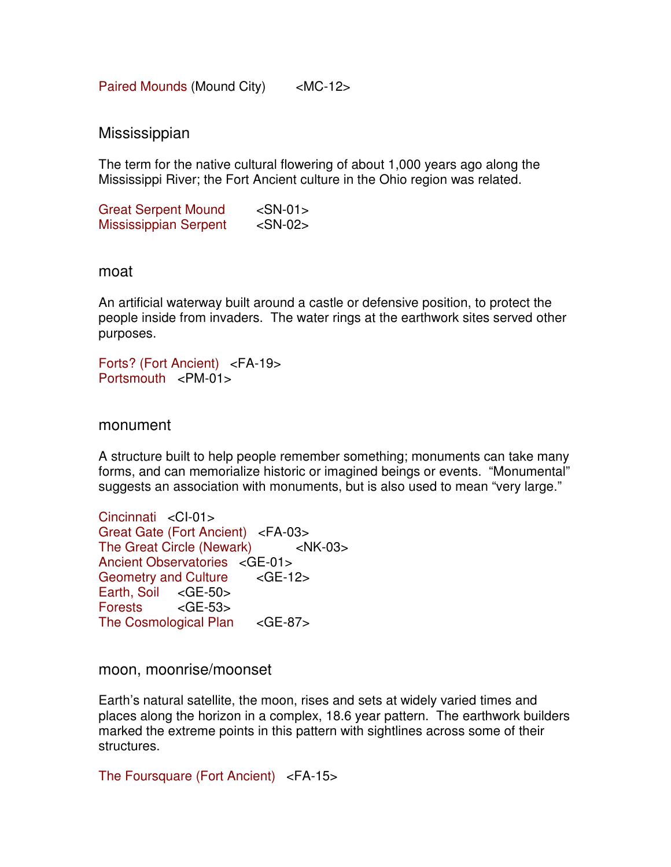Paired Mounds (Mound City) <MC-12>

**Mississippian** 

The term for the native cultural flowering of about 1,000 years ago along the Mississippi River; the Fort Ancient culture in the Ohio region was related.

Great Serpent Mound <SN-01> Mississippian Serpent <SN-02>

#### moat

An artificial waterway built around a castle or defensive position, to protect the people inside from invaders. The water rings at the earthwork sites served other purposes.

Forts? (Fort Ancient) <FA-19> Portsmouth <PM-01>

monument

A structure built to help people remember something; monuments can take many forms, and can memorialize historic or imagined beings or events. "Monumental" suggests an association with monuments, but is also used to mean "very large."

Cincinnati <CI-01> Great Gate (Fort Ancient) <FA-03> The Great Circle (Newark) <NK-03> Ancient Observatories <GE-01> Geometry and Culture <GE-12> Earth, Soil <GE-50> Forests <GE-53> The Cosmological Plan <GE-87>

moon, moonrise/moonset

Earth's natural satellite, the moon, rises and sets at widely varied times and places along the horizon in a complex, 18.6 year pattern. The earthwork builders marked the extreme points in this pattern with sightlines across some of their structures.

The Foursquare (Fort Ancient) <FA-15>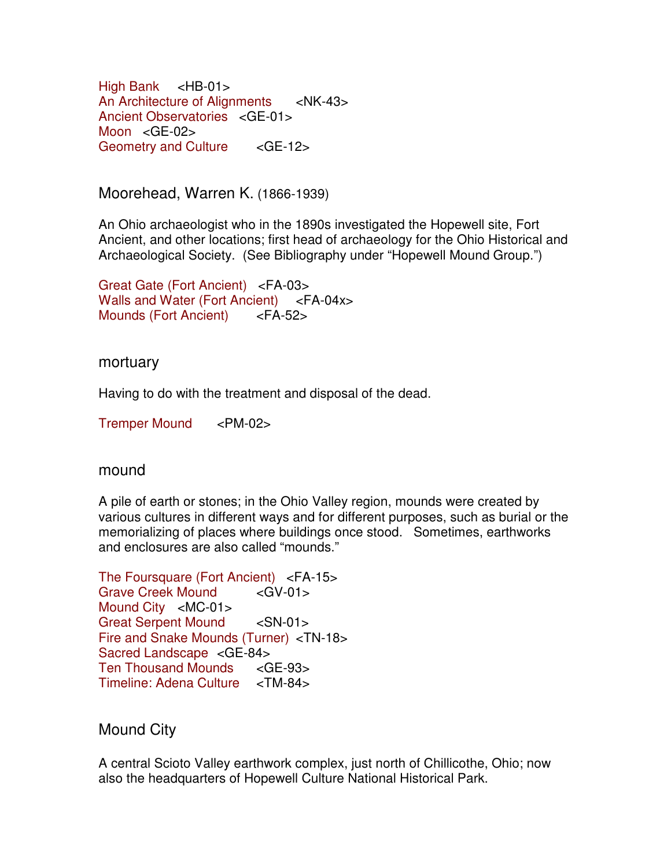High Bank <HB-01> An Architecture of Alignments <NK-43> Ancient Observatories <GE-01> Moon <GE-02> Geometry and Culture <GE-12>

Moorehead, Warren K. (1866-1939)

An Ohio archaeologist who in the 1890s investigated the Hopewell site, Fort Ancient, and other locations; first head of archaeology for the Ohio Historical and Archaeological Society. (See Bibliography under "Hopewell Mound Group.")

Great Gate (Fort Ancient) <FA-03> Walls and Water (Fort Ancient) <FA-04x> Mounds (Fort Ancient) <FA-52>

mortuary

Having to do with the treatment and disposal of the dead.

Tremper Mound <PM-02>

mound

A pile of earth or stones; in the Ohio Valley region, mounds were created by various cultures in different ways and for different purposes, such as burial or the memorializing of places where buildings once stood. Sometimes, earthworks and enclosures are also called "mounds."

The Foursquare (Fort Ancient) <FA-15> Grave Creek Mound <GV-01> Mound City <MC-01> Great Serpent Mound <SN-01> Fire and Snake Mounds (Turner) <TN-18> Sacred Landscape <GE-84> Ten Thousand Mounds <GE-93> Timeline: Adena Culture <TM-84>

Mound City

A central Scioto Valley earthwork complex, just north of Chillicothe, Ohio; now also the headquarters of Hopewell Culture National Historical Park.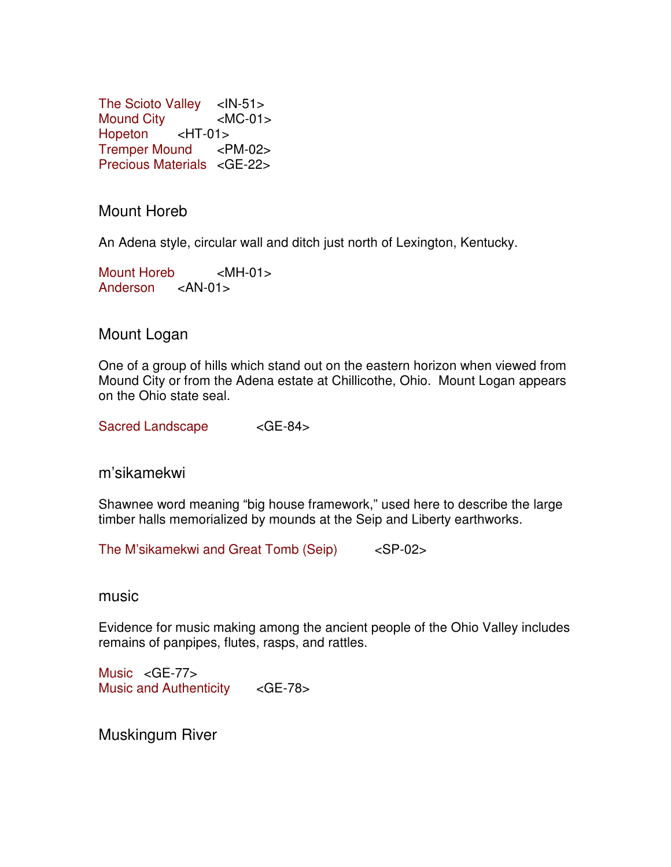The Scioto Valley <IN-51> Mound City <MC-01> Hopeton <HT-01> Tremper Mound <PM-02> Precious Materials <GE-22>

Mount Horeb

An Adena style, circular wall and ditch just north of Lexington, Kentucky.

Mount Horeb <MH-01> Anderson <AN-01>

Mount Logan

One of a group of hills which stand out on the eastern horizon when viewed from Mound City or from the Adena estate at Chillicothe, Ohio. Mount Logan appears on the Ohio state seal.

Sacred Landscape <GE-84>

m'sikamekwi

Shawnee word meaning "big house framework," used here to describe the large timber halls memorialized by mounds at the Seip and Liberty earthworks.

The M'sikamekwi and Great Tomb (Seip) <SP-02>

music

Evidence for music making among the ancient people of the Ohio Valley includes remains of panpipes, flutes, rasps, and rattles.

Music <GE-77> Music and Authenticity <GE-78>

Muskingum River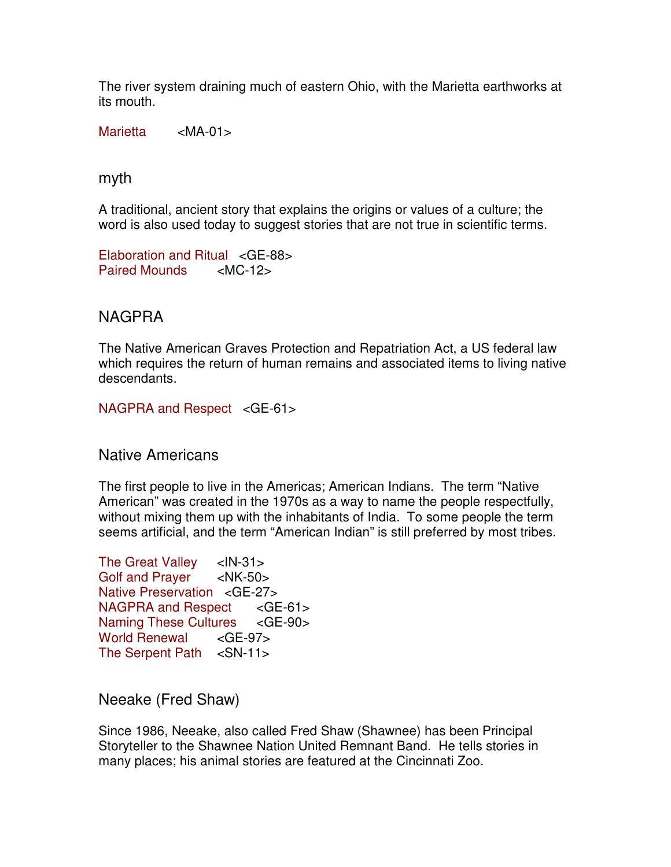The river system draining much of eastern Ohio, with the Marietta earthworks at its mouth.

Marietta <MA-01>

myth

A traditional, ancient story that explains the origins or values of a culture; the word is also used today to suggest stories that are not true in scientific terms.

Elaboration and Ritual <GE-88> Paired Mounds <MC-12>

# NAGPRA

The Native American Graves Protection and Repatriation Act, a US federal law which requires the return of human remains and associated items to living native descendants.

NAGPRA and Respect <GE-61>

Native Americans

The first people to live in the Americas; American Indians. The term "Native American" was created in the 1970s as a way to name the people respectfully, without mixing them up with the inhabitants of India. To some people the term seems artificial, and the term "American Indian" is still preferred by most tribes.

The Great Valley <IN-31> Golf and Prayer <NK-50> Native Preservation <GE-27> NAGPRA and Respect <GE-61> Naming These Cultures <GE-90> World Renewal <GE-97> The Serpent Path <SN-11>

Neeake (Fred Shaw)

Since 1986, Neeake, also called Fred Shaw (Shawnee) has been Principal Storyteller to the Shawnee Nation United Remnant Band. He tells stories in many places; his animal stories are featured at the Cincinnati Zoo.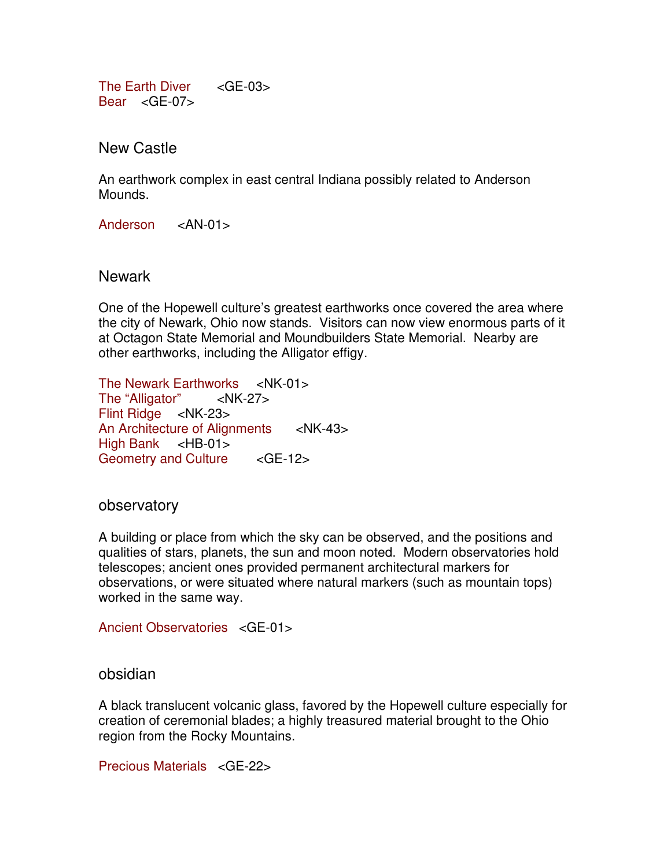The Earth Diver <GE-03> Bear <GE-07>

New Castle

An earthwork complex in east central Indiana possibly related to Anderson Mounds.

Anderson <AN-01>

Newark

One of the Hopewell culture's greatest earthworks once covered the area where the city of Newark, Ohio now stands. Visitors can now view enormous parts of it at Octagon State Memorial and Moundbuilders State Memorial. Nearby are other earthworks, including the Alligator effigy.

The Newark Earthworks <NK-01><br>The "Alligator" <NK-27> The "Alligator" Flint Ridge <NK-23> An Architecture of Alignments <NK-43> High Bank <HB-01> Geometry and Culture <GE-12>

observatory

A building or place from which the sky can be observed, and the positions and qualities of stars, planets, the sun and moon noted. Modern observatories hold telescopes; ancient ones provided permanent architectural markers for observations, or were situated where natural markers (such as mountain tops) worked in the same way.

Ancient Observatories <GE-01>

### obsidian

A black translucent volcanic glass, favored by the Hopewell culture especially for creation of ceremonial blades; a highly treasured material brought to the Ohio region from the Rocky Mountains.

Precious Materials <GE-22>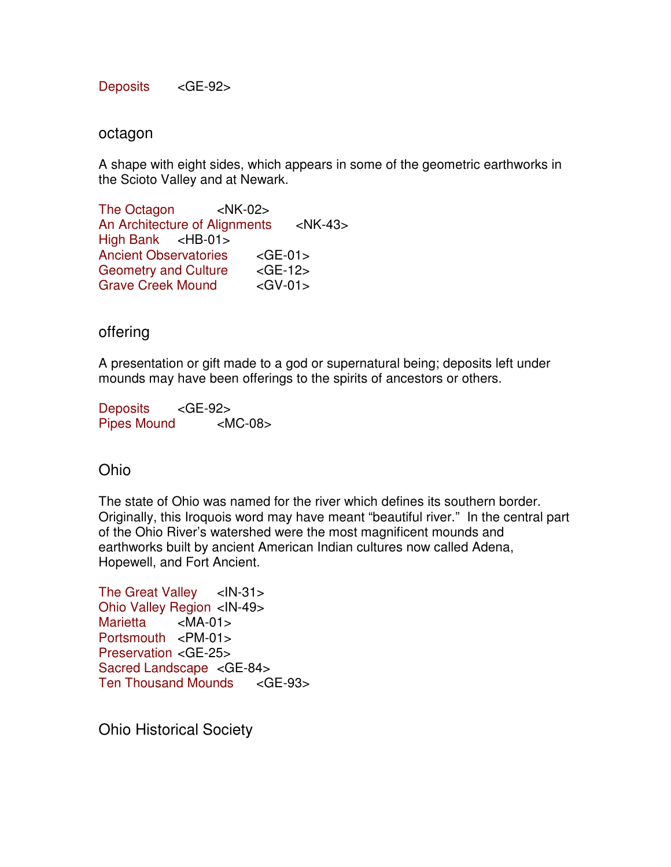Deposits <GE-92>

#### octagon

A shape with eight sides, which appears in some of the geometric earthworks in the Scioto Valley and at Newark.

The Octagon <NK-02> An Architecture of Alignments <NK-43> High Bank <HB-01> Ancient Observatories <GE-01> Geometry and Culture <GE-12> Grave Creek Mound <GV-01>

# offering

A presentation or gift made to a god or supernatural being; deposits left under mounds may have been offerings to the spirits of ancestors or others.

Deposits <GE-92> Pipes Mound <MC-08>

# Ohio

The state of Ohio was named for the river which defines its southern border. Originally, this Iroquois word may have meant "beautiful river." In the central part of the Ohio River's watershed were the most magnificent mounds and earthworks built by ancient American Indian cultures now called Adena, Hopewell, and Fort Ancient.

The Great Valley <IN-31> Ohio Valley Region <IN-49> Marietta <MA-01> Portsmouth <PM-01> Preservation <GE-25> Sacred Landscape <GE-84> Ten Thousand Mounds <GE-93>

Ohio Historical Society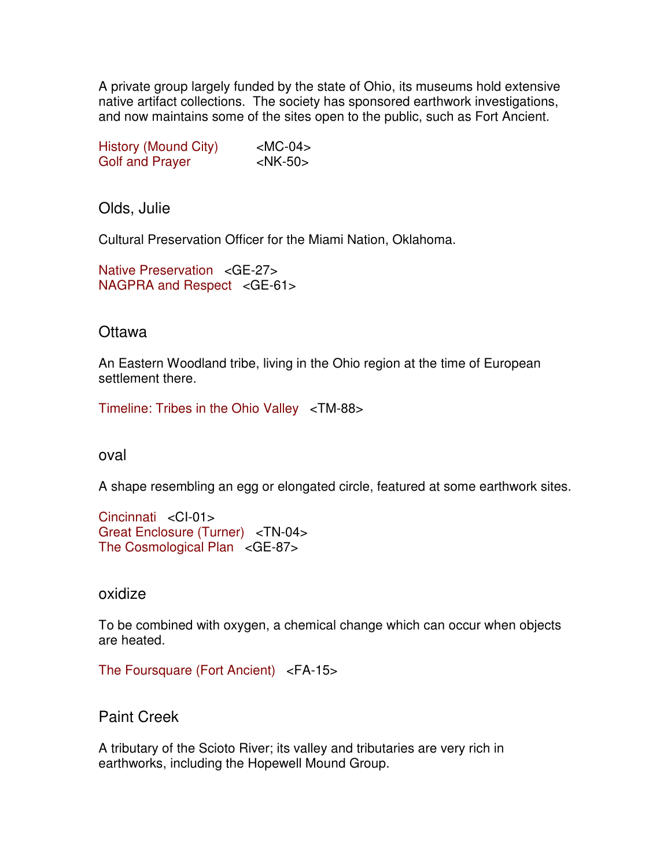A private group largely funded by the state of Ohio, its museums hold extensive native artifact collections. The society has sponsored earthwork investigations, and now maintains some of the sites open to the public, such as Fort Ancient.

| History (Mound City)   | $ MC-04\rangle$ |
|------------------------|-----------------|
| <b>Golf and Prayer</b> | $<$ NK-50 $>$   |

Olds, Julie

Cultural Preservation Officer for the Miami Nation, Oklahoma.

Native Preservation <GE-27> NAGPRA and Respect <GE-61>

# **Ottawa**

An Eastern Woodland tribe, living in the Ohio region at the time of European settlement there.

Timeline: Tribes in the Ohio Valley <TM-88>

oval

A shape resembling an egg or elongated circle, featured at some earthwork sites.

Cincinnati <CI-01> Great Enclosure (Turner) <TN-04> The Cosmological Plan <GE-87>

oxidize

To be combined with oxygen, a chemical change which can occur when objects are heated.

The Foursquare (Fort Ancient) <FA-15>

Paint Creek

A tributary of the Scioto River; its valley and tributaries are very rich in earthworks, including the Hopewell Mound Group.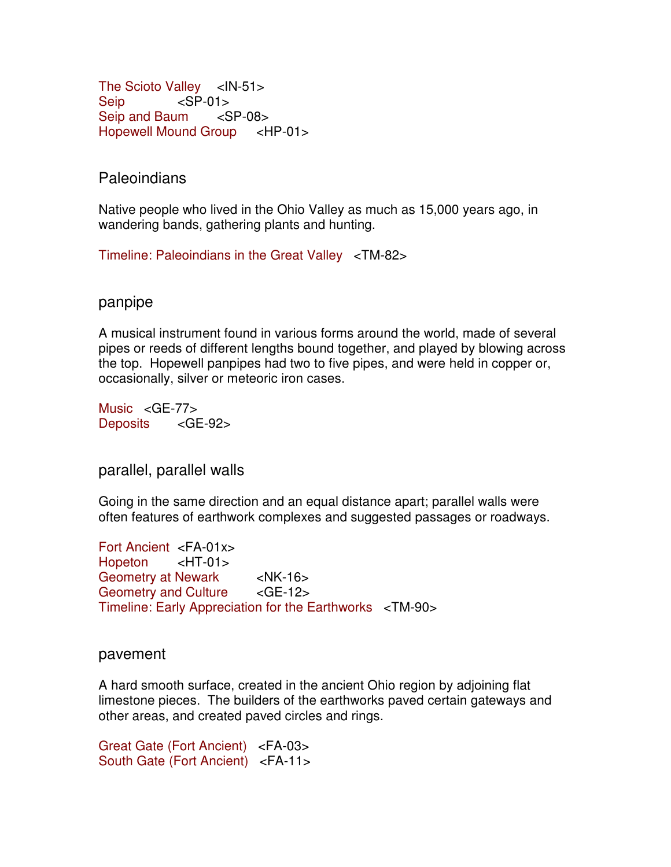The Scioto Valley <IN-51> Seip <SP-01> Seip and Baum <SP-08> Hopewell Mound Group <HP-01>

**Paleoindians** 

Native people who lived in the Ohio Valley as much as 15,000 years ago, in wandering bands, gathering plants and hunting.

Timeline: Paleoindians in the Great Valley <TM-82>

panpipe

A musical instrument found in various forms around the world, made of several pipes or reeds of different lengths bound together, and played by blowing across the top. Hopewell panpipes had two to five pipes, and were held in copper or, occasionally, silver or meteoric iron cases.

Music <GE-77> Deposits <GE-92>

parallel, parallel walls

Going in the same direction and an equal distance apart; parallel walls were often features of earthwork complexes and suggested passages or roadways.

Fort Ancient <FA-01x> Hopeton <HT-01> Geometry at Newark <NK-16> Geometry and Culture <GE-12> Timeline: Early Appreciation for the Earthworks <TM-90>

pavement

A hard smooth surface, created in the ancient Ohio region by adjoining flat limestone pieces. The builders of the earthworks paved certain gateways and other areas, and created paved circles and rings.

Great Gate (Fort Ancient) <FA-03> South Gate (Fort Ancient) <FA-11>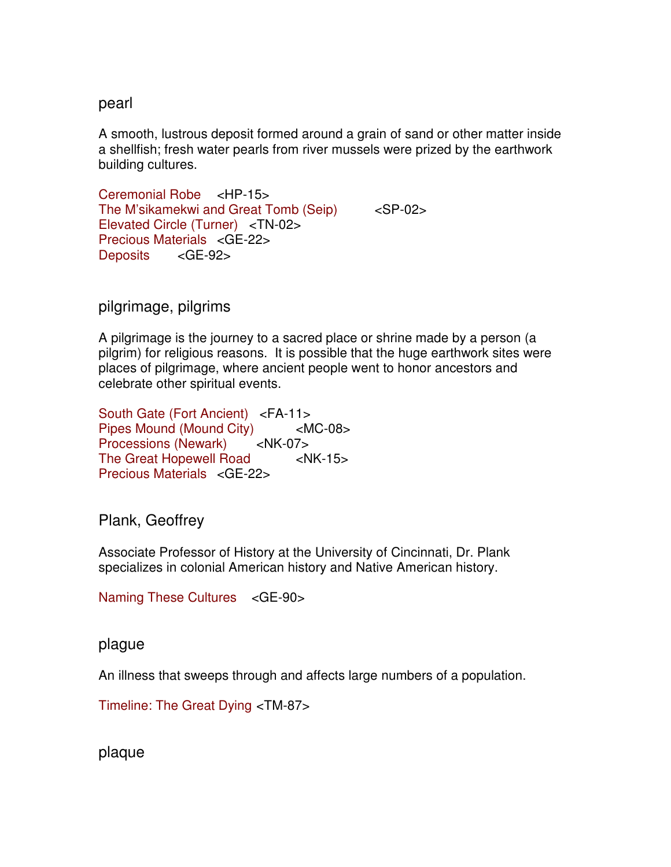# pearl

A smooth, lustrous deposit formed around a grain of sand or other matter inside a shellfish; fresh water pearls from river mussels were prized by the earthwork building cultures.

Ceremonial Robe <HP-15> The M'sikamekwi and Great Tomb (Seip) <SP-02> Elevated Circle (Turner) <TN-02> Precious Materials <GE-22> Deposits <GE-92>

# pilgrimage, pilgrims

A pilgrimage is the journey to a sacred place or shrine made by a person (a pilgrim) for religious reasons. It is possible that the huge earthwork sites were places of pilgrimage, where ancient people went to honor ancestors and celebrate other spiritual events.

South Gate (Fort Ancient) <FA-11> Pipes Mound (Mound City) <MC-08> Processions (Newark) <NK-07> The Great Hopewell Road <NK-15> Precious Materials <GE-22>

# Plank, Geoffrey

Associate Professor of History at the University of Cincinnati, Dr. Plank specializes in colonial American history and Native American history.

Naming These Cultures <GE-90>

### plague

An illness that sweeps through and affects large numbers of a population.

Timeline: The Great Dying <TM-87>

plaque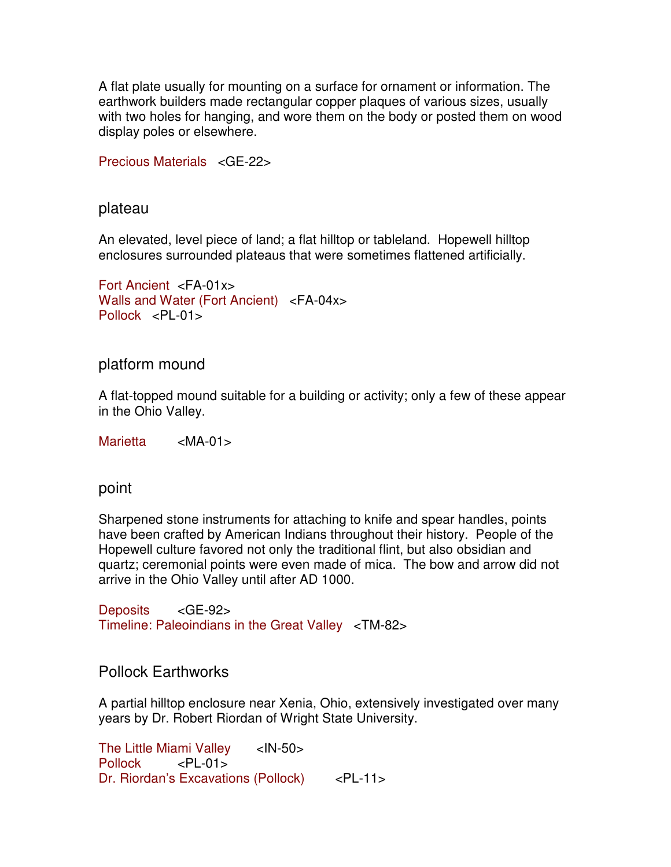A flat plate usually for mounting on a surface for ornament or information. The earthwork builders made rectangular copper plaques of various sizes, usually with two holes for hanging, and wore them on the body or posted them on wood display poles or elsewhere.

Precious Materials <GE-22>

plateau

An elevated, level piece of land; a flat hilltop or tableland. Hopewell hilltop enclosures surrounded plateaus that were sometimes flattened artificially.

```
Fort Ancient <FA-01x>
Walls and Water (Fort Ancient) <FA-04x> 
Pollock <PL-01>
```
platform mound

A flat-topped mound suitable for a building or activity; only a few of these appear in the Ohio Valley.

Marietta <MA-01>

point

Sharpened stone instruments for attaching to knife and spear handles, points have been crafted by American Indians throughout their history. People of the Hopewell culture favored not only the traditional flint, but also obsidian and quartz; ceremonial points were even made of mica. The bow and arrow did not arrive in the Ohio Valley until after AD 1000.

Deposits <GE-92> Timeline: Paleoindians in the Great Valley <TM-82>

# Pollock Earthworks

A partial hilltop enclosure near Xenia, Ohio, extensively investigated over many years by Dr. Robert Riordan of Wright State University.

The Little Miami Valley <IN-50> Pollock <PL-01> Dr. Riordan's Excavations (Pollock) <PL-11>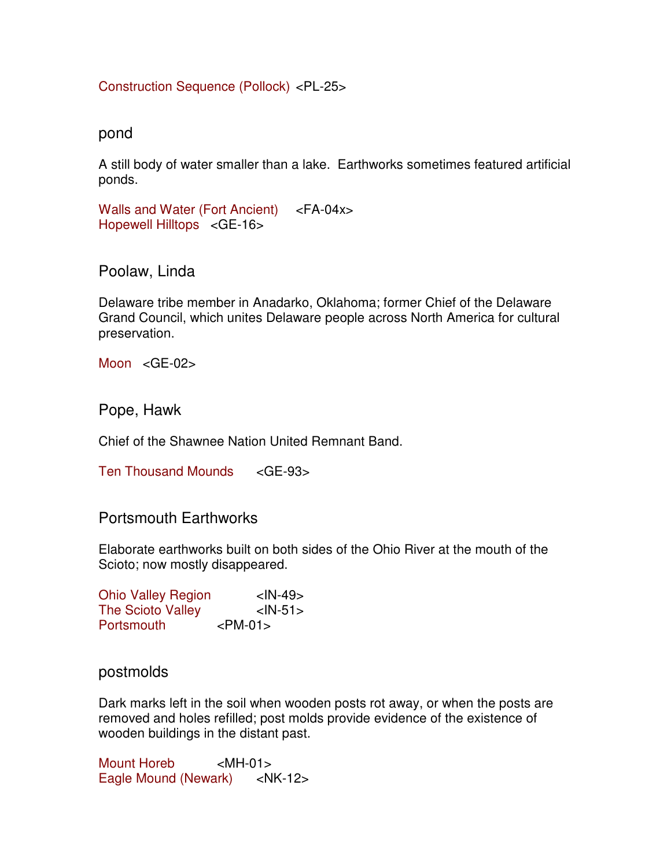Construction Sequence (Pollock) <PL-25>

pond

A still body of water smaller than a lake. Earthworks sometimes featured artificial ponds.

Walls and Water (Fort Ancient) <FA-04x> Hopewell Hilltops <GE-16>

Poolaw, Linda

Delaware tribe member in Anadarko, Oklahoma; former Chief of the Delaware Grand Council, which unites Delaware people across North America for cultural preservation.

Moon <GE-02>

Pope, Hawk

Chief of the Shawnee Nation United Remnant Band.

Ten Thousand Mounds <GE-93>

Portsmouth Earthworks

Elaborate earthworks built on both sides of the Ohio River at the mouth of the Scioto; now mostly disappeared.

| <b>Ohio Valley Region</b> | $<$ IN-49 $>$ |
|---------------------------|---------------|
| <b>The Scioto Valley</b>  | $<$ IN-51 $>$ |
| Portsmouth                | $<$ PM-01 $>$ |

# postmolds

Dark marks left in the soil when wooden posts rot away, or when the posts are removed and holes refilled; post molds provide evidence of the existence of wooden buildings in the distant past.

Mount Horeb <MH-01> Eagle Mound (Newark) <NK-12>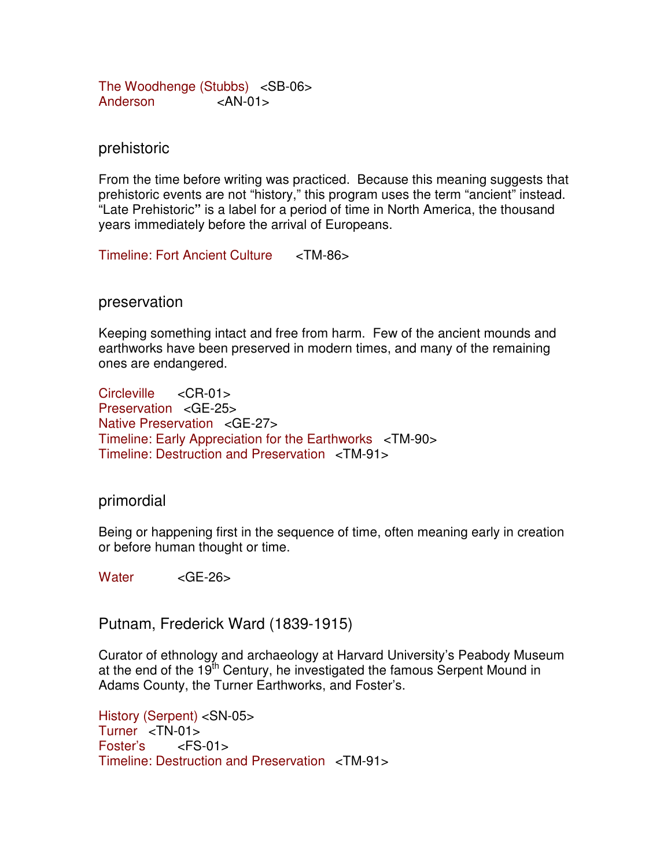The Woodhenge (Stubbs) <SB-06> Anderson <AN-01

### prehistoric

From the time before writing was practiced. Because this meaning suggests that prehistoric events are not "history," this program uses the term "ancient" instead. "Late Prehistoric**"** is a label for a period of time in North America, the thousand years immediately before the arrival of Europeans.

Timeline: Fort Ancient Culture <TM-86>

### preservation

Keeping something intact and free from harm. Few of the ancient mounds and earthworks have been preserved in modern times, and many of the remaining ones are endangered.

Circleville <CR-01> Preservation <GE-25> Native Preservation <GE-27> Timeline: Early Appreciation for the Earthworks <TM-90> Timeline: Destruction and Preservation <TM-91>

#### primordial

Being or happening first in the sequence of time, often meaning early in creation or before human thought or time.

Water <GE-26>

Putnam, Frederick Ward (1839-1915)

Curator of ethnology and archaeology at Harvard University's Peabody Museum at the end of the  $19<sup>th</sup>$  Century, he investigated the famous Serpent Mound in Adams County, the Turner Earthworks, and Foster's.

History (Serpent) <SN-05> Turner <TN-01> Foster's <FS-01> Timeline: Destruction and Preservation <TM-91>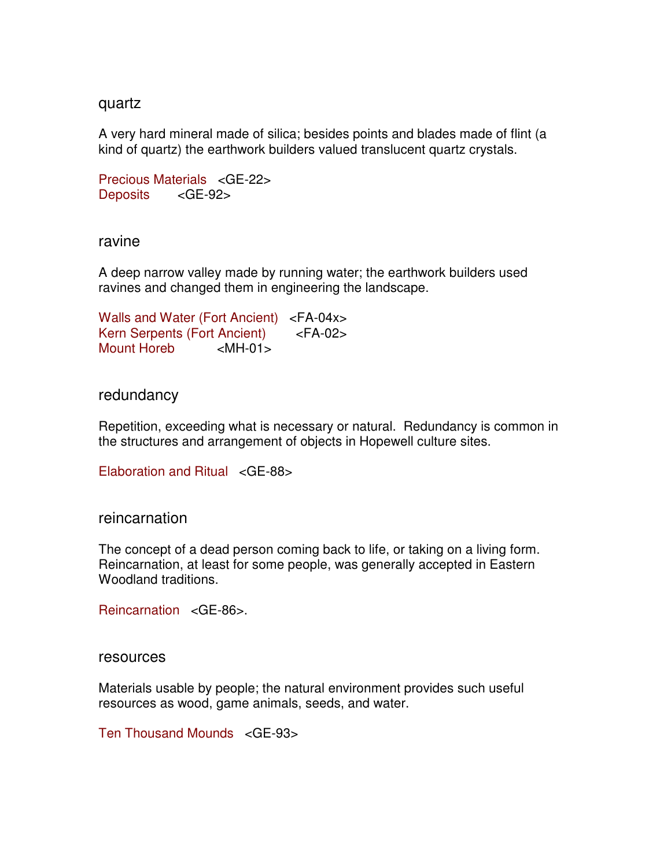#### quartz

A very hard mineral made of silica; besides points and blades made of flint (a kind of quartz) the earthwork builders valued translucent quartz crystals.

```
Precious Materials <GE-22> 
Deposits <GE-92>
```
ravine

A deep narrow valley made by running water; the earthwork builders used ravines and changed them in engineering the landscape.

Walls and Water (Fort Ancient) <FA-04x> Kern Serpents (Fort Ancient) <FA-02> Mount Horeb <MH-01>

redundancy

Repetition, exceeding what is necessary or natural. Redundancy is common in the structures and arrangement of objects in Hopewell culture sites.

Elaboration and Ritual <GE-88>

### reincarnation

The concept of a dead person coming back to life, or taking on a living form. Reincarnation, at least for some people, was generally accepted in Eastern Woodland traditions.

Reincarnation <GE-86>.

resources

Materials usable by people; the natural environment provides such useful resources as wood, game animals, seeds, and water.

Ten Thousand Mounds <GE-93>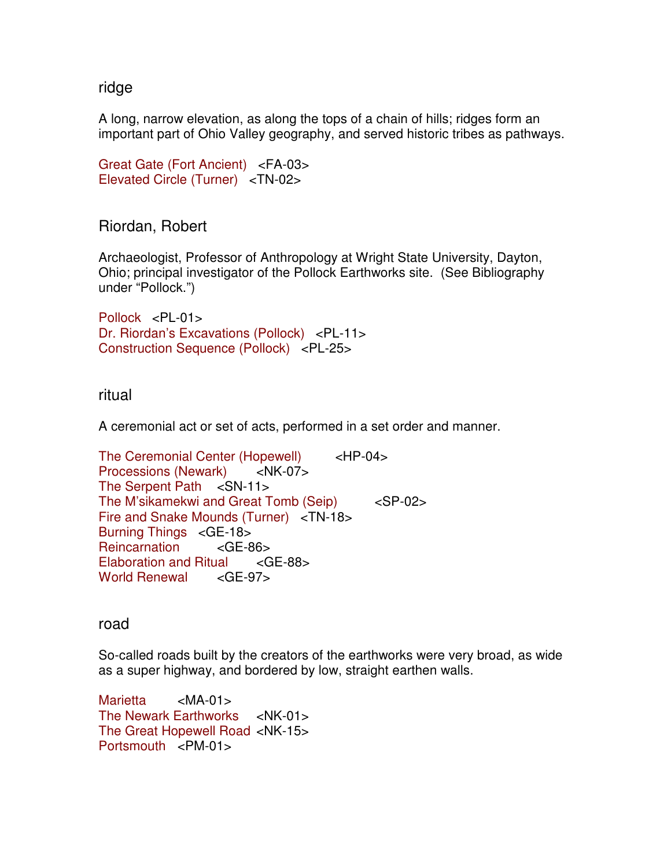### ridge

A long, narrow elevation, as along the tops of a chain of hills; ridges form an important part of Ohio Valley geography, and served historic tribes as pathways.

```
Great Gate (Fort Ancient) <FA-03> 
Elevated Circle (Turner) <TN-02>
```
Riordan, Robert

Archaeologist, Professor of Anthropology at Wright State University, Dayton, Ohio; principal investigator of the Pollock Earthworks site. (See Bibliography under "Pollock.")

Pollock <PL-01> Dr. Riordan's Excavations (Pollock) <PL-11> Construction Sequence (Pollock) <PL-25>

ritual

A ceremonial act or set of acts, performed in a set order and manner.

The Ceremonial Center (Hopewell) <HP-04> Processions (Newark) <NK-07> The Serpent Path <SN-11> The M'sikamekwi and Great Tomb (Seip) <SP-02> Fire and Snake Mounds (Turner) <TN-18> Burning Things <GE-18> Reincarnation <GE-86> Elaboration and Ritual <GE-88> World Renewal <GE-97>

road

So-called roads built by the creators of the earthworks were very broad, as wide as a super highway, and bordered by low, straight earthen walls.

Marietta <MA-01> The Newark Earthworks <NK-01> The Great Hopewell Road <NK-15> Portsmouth <PM-01>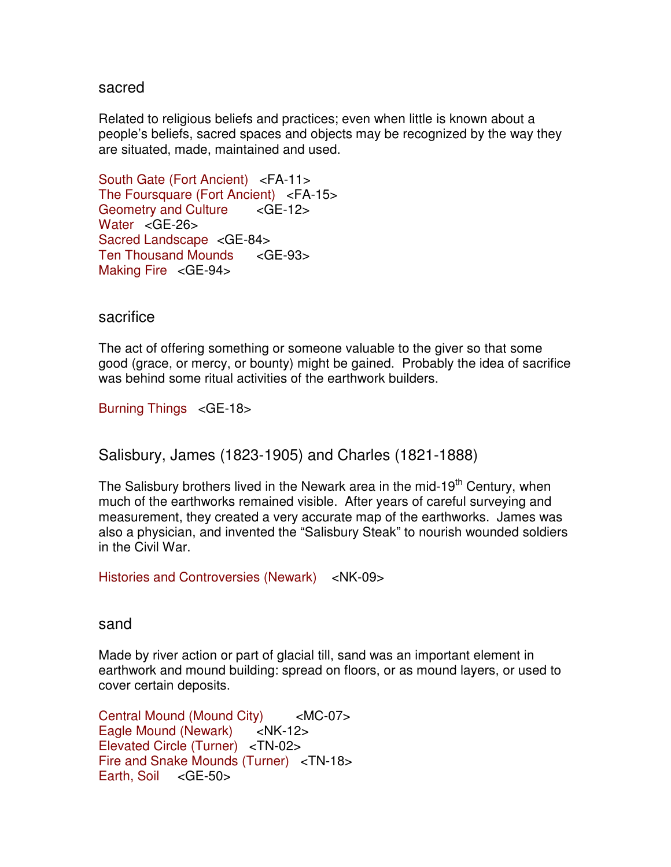#### sacred

Related to religious beliefs and practices; even when little is known about a people's beliefs, sacred spaces and objects may be recognized by the way they are situated, made, maintained and used.

South Gate (Fort Ancient) <FA-11> The Foursquare (Fort Ancient) <FA-15> Geometry and Culture <GE-12> Water <GE-26> Sacred Landscape <GE-84> Ten Thousand Mounds <GE-93> Making Fire <GE-94>

#### sacrifice

The act of offering something or someone valuable to the giver so that some good (grace, or mercy, or bounty) might be gained. Probably the idea of sacrifice was behind some ritual activities of the earthwork builders.

Burning Things <GE-18>

Salisbury, James (1823-1905) and Charles (1821-1888)

The Salisbury brothers lived in the Newark area in the mid-19<sup>th</sup> Century, when much of the earthworks remained visible. After years of careful surveying and measurement, they created a very accurate map of the earthworks. James was also a physician, and invented the "Salisbury Steak" to nourish wounded soldiers in the Civil War.

Histories and Controversies (Newark) <NK-09>

sand

Made by river action or part of glacial till, sand was an important element in earthwork and mound building: spread on floors, or as mound layers, or used to cover certain deposits.

Central Mound (Mound City) <MC-07> Eagle Mound (Newark) <NK-12> Elevated Circle (Turner) <TN-02> Fire and Snake Mounds (Turner) <TN-18> Earth, Soil <GE-50>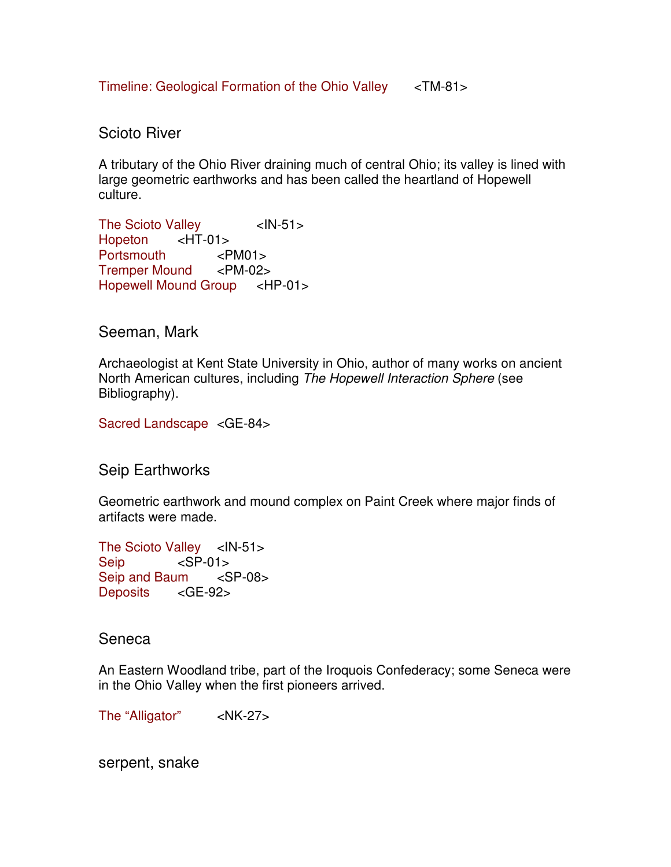Timeline: Geological Formation of the Ohio Valley <TM-81>

# Scioto River

A tributary of the Ohio River draining much of central Ohio; its valley is lined with large geometric earthworks and has been called the heartland of Hopewell culture.

The Scioto Valley <IN-51> Hopeton <HT-01> Portsmouth <PM01> Tremper Mound <PM-02> Hopewell Mound Group <HP-01>

# Seeman, Mark

Archaeologist at Kent State University in Ohio, author of many works on ancient North American cultures, including The Hopewell Interaction Sphere (see Bibliography).

Sacred Landscape <GE-84>

Seip Earthworks

Geometric earthwork and mound complex on Paint Creek where major finds of artifacts were made.

The Scioto Valley <IN-51> Seip <SP-01> Seip and Baum <SP-08> Deposits <GE-92>

### Seneca

An Eastern Woodland tribe, part of the Iroquois Confederacy; some Seneca were in the Ohio Valley when the first pioneers arrived.

The "Alligator" <NK-27>

serpent, snake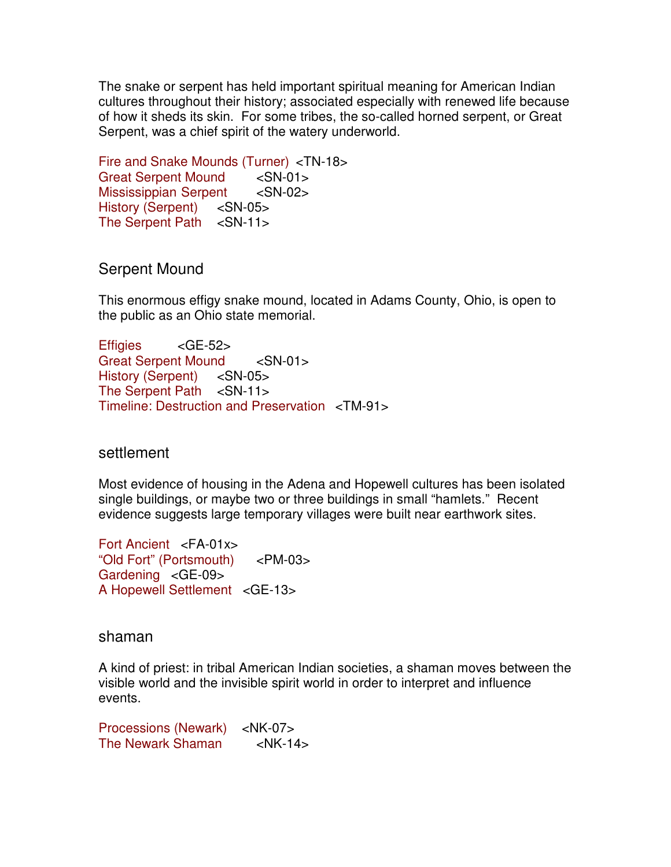The snake or serpent has held important spiritual meaning for American Indian cultures throughout their history; associated especially with renewed life because of how it sheds its skin. For some tribes, the so-called horned serpent, or Great Serpent, was a chief spirit of the watery underworld.

Fire and Snake Mounds (Turner) <TN-18> Great Serpent Mound <SN-01> Mississippian Serpent <SN-02> History (Serpent) <SN-05> The Serpent Path <SN-11>

Serpent Mound

This enormous effigy snake mound, located in Adams County, Ohio, is open to the public as an Ohio state memorial.

Effigies <GE-52> Great Serpent Mound <SN-01> History (Serpent) <SN-05> The Serpent Path <SN-11> Timeline: Destruction and Preservation <TM-91>

# settlement

Most evidence of housing in the Adena and Hopewell cultures has been isolated single buildings, or maybe two or three buildings in small "hamlets." Recent evidence suggests large temporary villages were built near earthwork sites.

Fort Ancient <FA-01x> "Old Fort" (Portsmouth) <PM-03> Gardening <GE-09> A Hopewell Settlement <GE-13>

### shaman

A kind of priest: in tribal American Indian societies, a shaman moves between the visible world and the invisible spirit world in order to interpret and influence events.

Processions (Newark) <NK-07> The Newark Shaman <NK-14>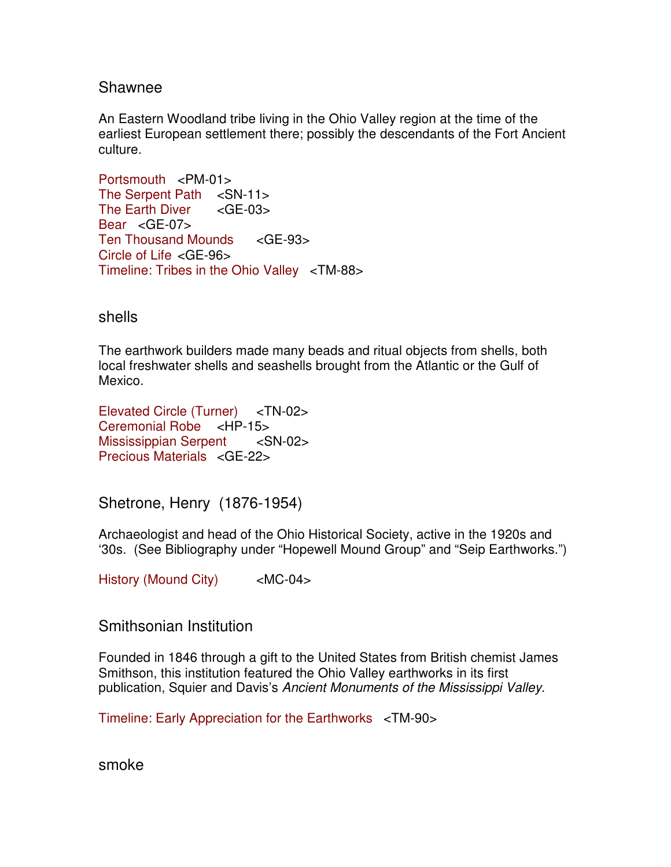### Shawnee

An Eastern Woodland tribe living in the Ohio Valley region at the time of the earliest European settlement there; possibly the descendants of the Fort Ancient culture.

Portsmouth <PM-01> The Serpent Path <SN-11> The Earth Diver <GE-03> Bear <GE-07> Ten Thousand Mounds <GE-93> Circle of Life <GE-96> Timeline: Tribes in the Ohio Valley <TM-88>

shells

The earthwork builders made many beads and ritual objects from shells, both local freshwater shells and seashells brought from the Atlantic or the Gulf of Mexico.

Elevated Circle (Turner) <TN-02> Ceremonial Robe <HP-15> Mississippian Serpent <SN-02> Precious Materials <GE-22>

Shetrone, Henry (1876-1954)

Archaeologist and head of the Ohio Historical Society, active in the 1920s and '30s. (See Bibliography under "Hopewell Mound Group" and "Seip Earthworks.")

History (Mound City) <MC-04>

### Smithsonian Institution

Founded in 1846 through a gift to the United States from British chemist James Smithson, this institution featured the Ohio Valley earthworks in its first publication, Squier and Davis's Ancient Monuments of the Mississippi Valley.

Timeline: Early Appreciation for the Earthworks <TM-90>

smoke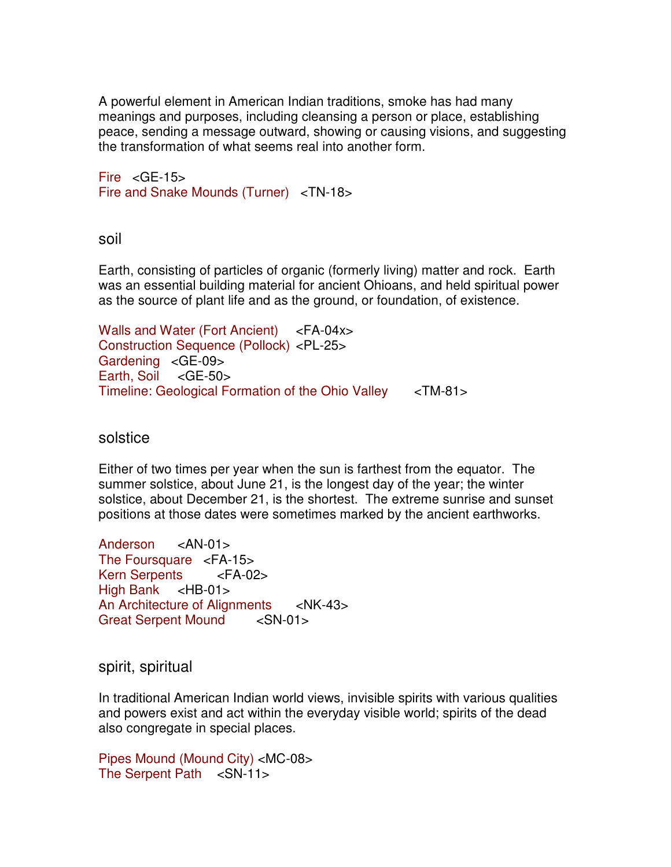A powerful element in American Indian traditions, smoke has had many meanings and purposes, including cleansing a person or place, establishing peace, sending a message outward, showing or causing visions, and suggesting the transformation of what seems real into another form.

Fire  $\leq$  GE-15 $>$ Fire and Snake Mounds (Turner) <TN-18>

soil

Earth, consisting of particles of organic (formerly living) matter and rock. Earth was an essential building material for ancient Ohioans, and held spiritual power as the source of plant life and as the ground, or foundation, of existence.

Walls and Water (Fort Ancient) <FA-04x> Construction Sequence (Pollock) <PL-25> Gardening <GE-09> Earth, Soil <GE-50> Timeline: Geological Formation of the Ohio Valley <TM-81>

## solstice

Either of two times per year when the sun is farthest from the equator. The summer solstice, about June 21, is the longest day of the year; the winter solstice, about December 21, is the shortest. The extreme sunrise and sunset positions at those dates were sometimes marked by the ancient earthworks.

Anderson <AN-01> The Foursquare <FA-15> Kern Serpents <FA-02> High Bank <HB-01> An Architecture of Alignments <NK-43> Great Serpent Mound <SN-01>

spirit, spiritual

In traditional American Indian world views, invisible spirits with various qualities and powers exist and act within the everyday visible world; spirits of the dead also congregate in special places.

Pipes Mound (Mound City) <MC-08> The Serpent Path <SN-11>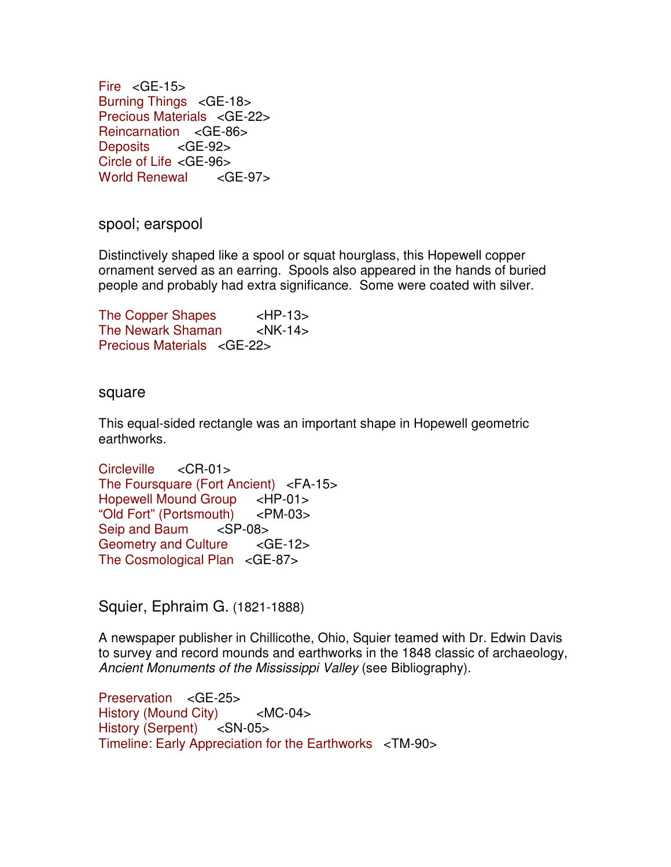Fire <GE-15> Burning Things <GE-18> Precious Materials <GE-22> Reincarnation <GE-86> Deposits <GE-92> Circle of Life <GE-96> World Renewal <GE-97>

spool; earspool

Distinctively shaped like a spool or squat hourglass, this Hopewell copper ornament served as an earring. Spools also appeared in the hands of buried people and probably had extra significance. Some were coated with silver.

The Copper Shapes <HP-13> The Newark Shaman <NK-14> Precious Materials <GE-22>

#### square

This equal-sided rectangle was an important shape in Hopewell geometric earthworks.

```
Circleville <CR-01>
The Foursquare (Fort Ancient) <FA-15> 
Hopewell Mound Group <HP-01> 
"Old Fort" (Portsmouth) <PM-03> 
Seip and Baum <SP-08> 
Geometry and Culture <GE-12>
The Cosmological Plan <GE-87>
```
Squier, Ephraim G. (1821-1888)

A newspaper publisher in Chillicothe, Ohio, Squier teamed with Dr. Edwin Davis to survey and record mounds and earthworks in the 1848 classic of archaeology, Ancient Monuments of the Mississippi Valley (see Bibliography).

Preservation <GE-25> History (Mound City) <MC-04> History (Serpent) <SN-05> Timeline: Early Appreciation for the Earthworks <TM-90>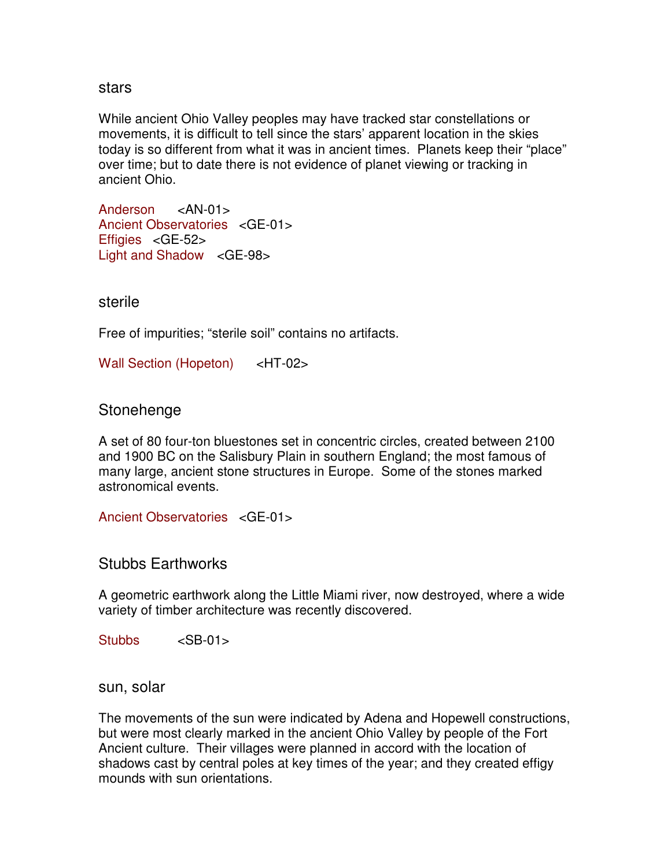stars

While ancient Ohio Valley peoples may have tracked star constellations or movements, it is difficult to tell since the stars' apparent location in the skies today is so different from what it was in ancient times. Planets keep their "place" over time; but to date there is not evidence of planet viewing or tracking in ancient Ohio.

Anderson <AN-01> Ancient Observatories <GE-01> Effigies <GE-52> Light and Shadow <GE-98>

sterile

Free of impurities; "sterile soil" contains no artifacts.

Wall Section (Hopeton) <HT-02>

**Stonehenge** 

A set of 80 four-ton bluestones set in concentric circles, created between 2100 and 1900 BC on the Salisbury Plain in southern England; the most famous of many large, ancient stone structures in Europe. Some of the stones marked astronomical events.

Ancient Observatories <GE-01>

Stubbs Earthworks

A geometric earthwork along the Little Miami river, now destroyed, where a wide variety of timber architecture was recently discovered.

Stubbs <SB-01>

sun, solar

The movements of the sun were indicated by Adena and Hopewell constructions, but were most clearly marked in the ancient Ohio Valley by people of the Fort Ancient culture. Their villages were planned in accord with the location of shadows cast by central poles at key times of the year; and they created effigy mounds with sun orientations.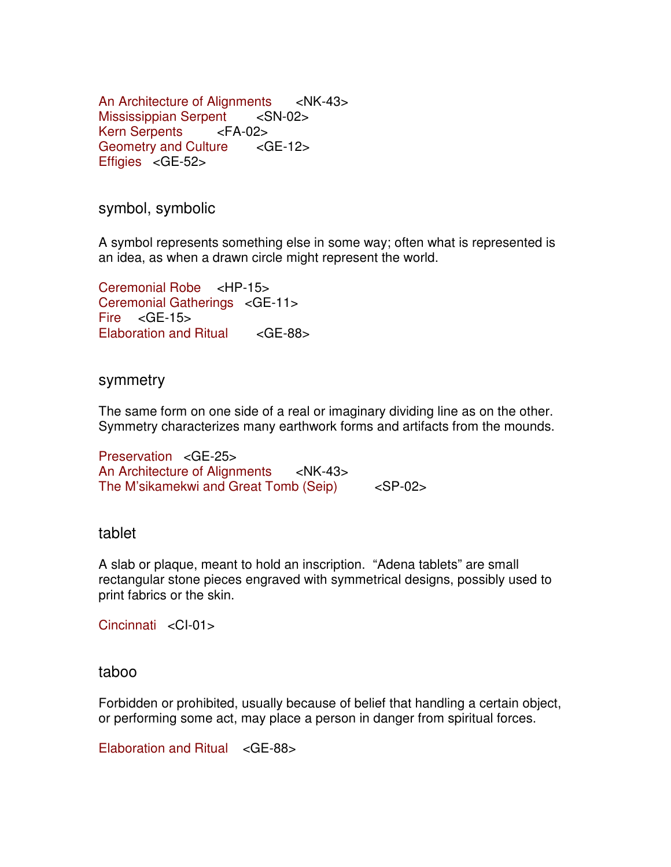An Architecture of Alignments <NK-43> Mississippian Serpent <SN-02> Kern Serpents <FA-02> Geometry and Culture <GE-12> Effigies <GE-52>

symbol, symbolic

A symbol represents something else in some way; often what is represented is an idea, as when a drawn circle might represent the world.

Ceremonial Robe <HP-15> Ceremonial Gatherings <GE-11> Fire  $\leq$  GE-15 $>$ Elaboration and Ritual <GE-88>

#### symmetry

The same form on one side of a real or imaginary dividing line as on the other. Symmetry characterizes many earthwork forms and artifacts from the mounds.

Preservation <GE-25> An Architecture of Alignments <NK-43> The M'sikamekwi and Great Tomb (Seip) <SP-02>

#### tablet

A slab or plaque, meant to hold an inscription. "Adena tablets" are small rectangular stone pieces engraved with symmetrical designs, possibly used to print fabrics or the skin.

Cincinnati <CI-01>

#### taboo

Forbidden or prohibited, usually because of belief that handling a certain object, or performing some act, may place a person in danger from spiritual forces.

Elaboration and Ritual <GE-88>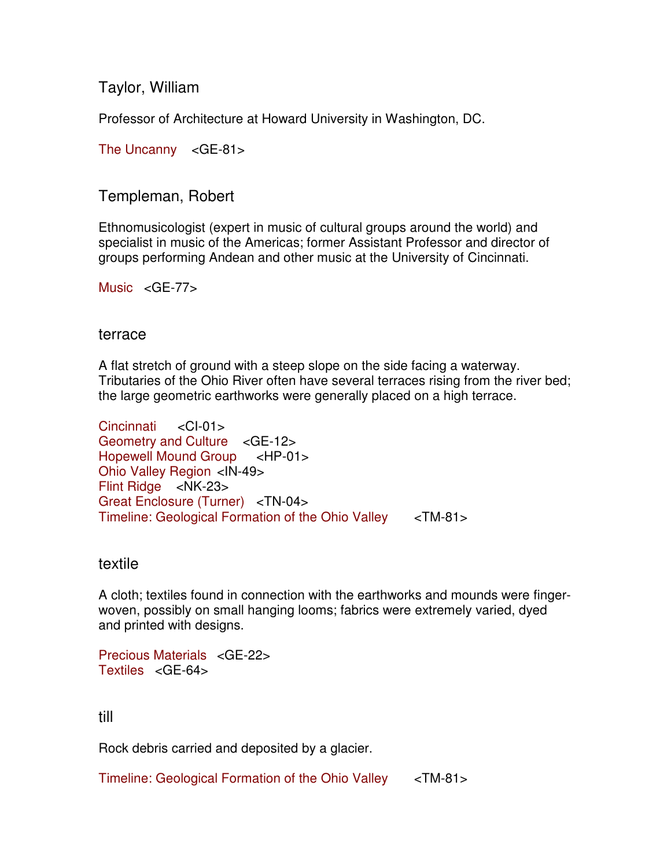Taylor, William

Professor of Architecture at Howard University in Washington, DC.

The Uncanny <GE-81>

# Templeman, Robert

Ethnomusicologist (expert in music of cultural groups around the world) and specialist in music of the Americas; former Assistant Professor and director of groups performing Andean and other music at the University of Cincinnati.

Music <GE-77>

### terrace

A flat stretch of ground with a steep slope on the side facing a waterway. Tributaries of the Ohio River often have several terraces rising from the river bed; the large geometric earthworks were generally placed on a high terrace.

```
Cincinnati <CI-01>
Geometry and Culture <GE-12> 
Hopewell Mound Group <HP-01> 
Ohio Valley Region <IN-49> 
Flint Ridge <NK-23> 
Great Enclosure (Turner) <TN-04> 
Timeline: Geological Formation of the Ohio Valley <TM-81>
```
### textile

A cloth; textiles found in connection with the earthworks and mounds were fingerwoven, possibly on small hanging looms; fabrics were extremely varied, dyed and printed with designs.

```
Precious Materials <GE-22>
Textiles <GE-64>
```
# till

Rock debris carried and deposited by a glacier.

Timeline: Geological Formation of the Ohio Valley <TM-81>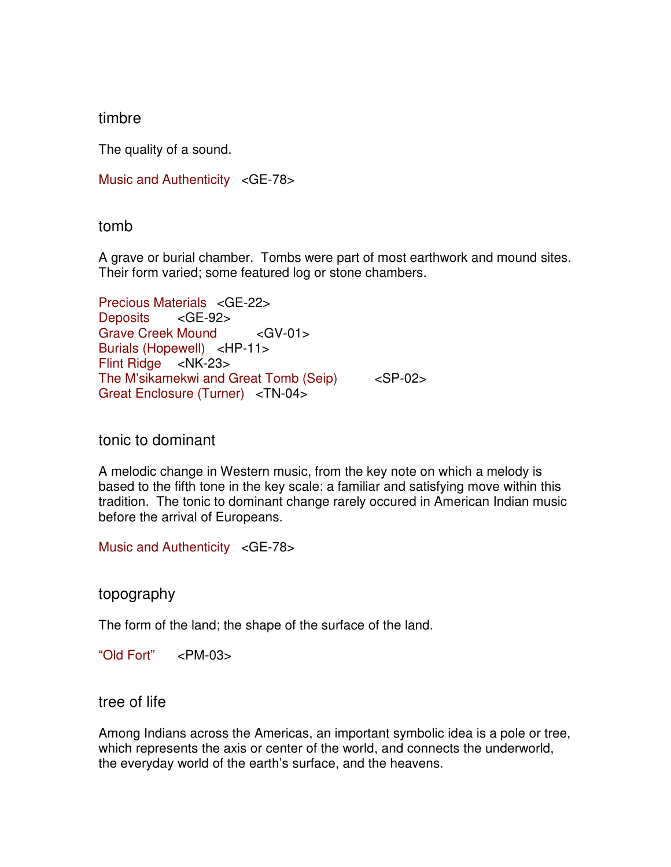## timbre

The quality of a sound.

Music and Authenticity <GE-78>

### tomb

A grave or burial chamber. Tombs were part of most earthwork and mound sites. Their form varied; some featured log or stone chambers.

Precious Materials <GE-22> Deposits <GE-92> Grave Creek Mound <GV-01> Burials (Hopewell) <HP-11> Flint Ridge <NK-23> The M'sikamekwi and Great Tomb (Seip) <SP-02> Great Enclosure (Turner) <TN-04>

### tonic to dominant

A melodic change in Western music, from the key note on which a melody is based to the fifth tone in the key scale: a familiar and satisfying move within this tradition. The tonic to dominant change rarely occured in American Indian music before the arrival of Europeans.

Music and Authenticity <GE-78>

topography

The form of the land; the shape of the surface of the land.

"Old Fort" <PM-03>

tree of life

Among Indians across the Americas, an important symbolic idea is a pole or tree, which represents the axis or center of the world, and connects the underworld, the everyday world of the earth's surface, and the heavens.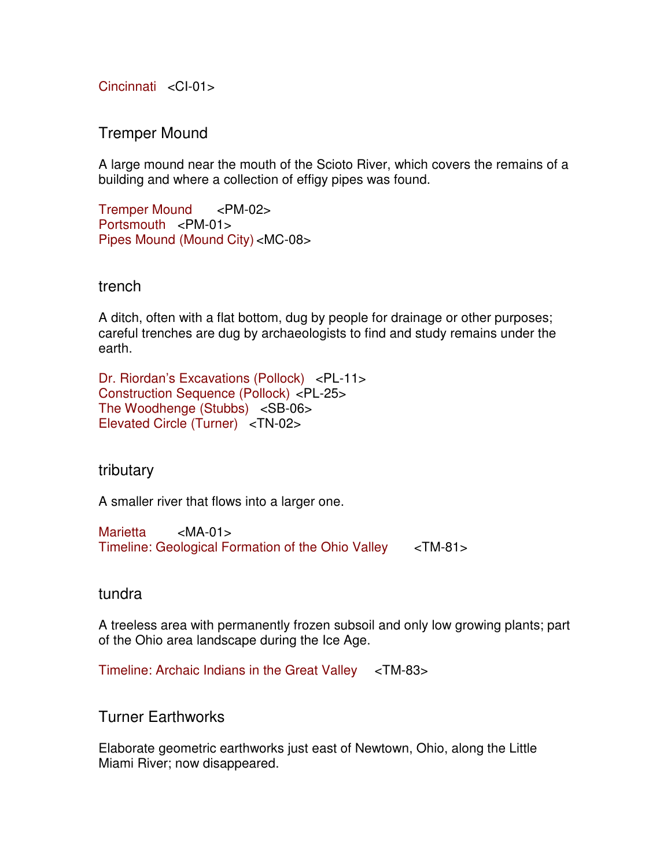Cincinnati <CI-01>

Tremper Mound

A large mound near the mouth of the Scioto River, which covers the remains of a building and where a collection of effigy pipes was found.

Tremper Mound <PM-02> Portsmouth <PM-01> Pipes Mound (Mound City) <MC-08>

### trench

A ditch, often with a flat bottom, dug by people for drainage or other purposes; careful trenches are dug by archaeologists to find and study remains under the earth.

Dr. Riordan's Excavations (Pollock) <PL-11> Construction Sequence (Pollock) <PL-25> The Woodhenge (Stubbs) <SB-06> Elevated Circle (Turner) <TN-02>

tributary

A smaller river that flows into a larger one.

Marietta <MA-01> Timeline: Geological Formation of the Ohio Valley <TM-81>

### tundra

A treeless area with permanently frozen subsoil and only low growing plants; part of the Ohio area landscape during the Ice Age.

Timeline: Archaic Indians in the Great Valley <TM-83>

Turner Earthworks

Elaborate geometric earthworks just east of Newtown, Ohio, along the Little Miami River; now disappeared.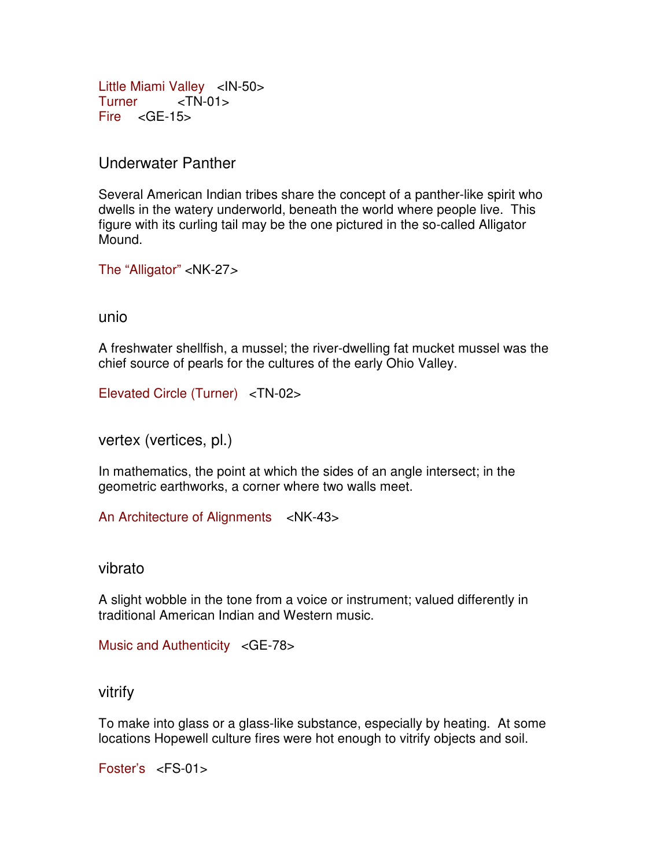Little Miami Valley <IN-50> Turner <TN-01> Fire <GE-15>

Underwater Panther

Several American Indian tribes share the concept of a panther-like spirit who dwells in the watery underworld, beneath the world where people live. This figure with its curling tail may be the one pictured in the so-called Alligator Mound.

The "Alligator" <NK-27>

unio

A freshwater shellfish, a mussel; the river-dwelling fat mucket mussel was the chief source of pearls for the cultures of the early Ohio Valley.

Elevated Circle (Turner) <TN-02>

vertex (vertices, pl.)

In mathematics, the point at which the sides of an angle intersect; in the geometric earthworks, a corner where two walls meet.

An Architecture of Alignments <NK-43>

vibrato

A slight wobble in the tone from a voice or instrument; valued differently in traditional American Indian and Western music.

Music and Authenticity <GE-78>

vitrify

To make into glass or a glass-like substance, especially by heating. At some locations Hopewell culture fires were hot enough to vitrify objects and soil.

Foster's <FS-01>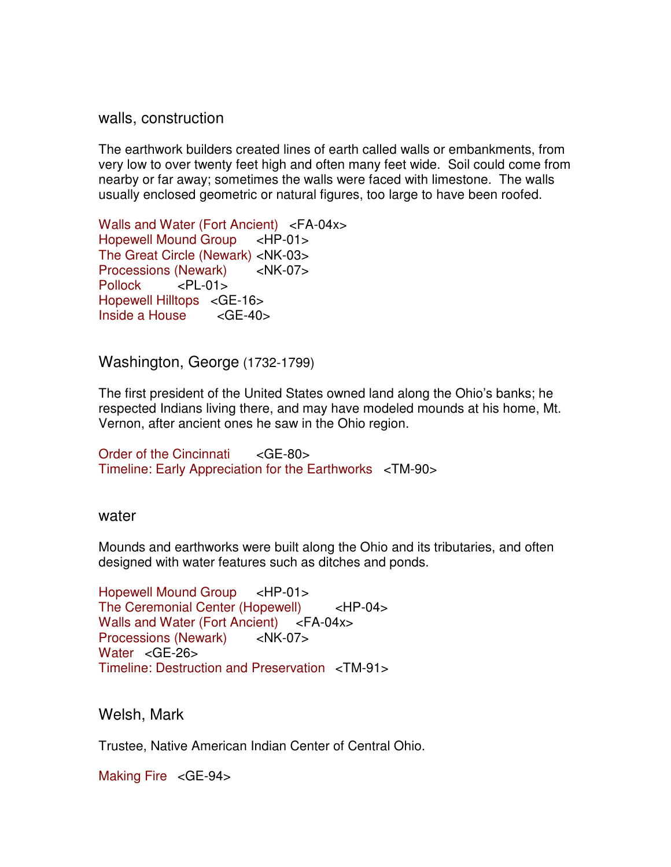walls, construction

The earthwork builders created lines of earth called walls or embankments, from very low to over twenty feet high and often many feet wide. Soil could come from nearby or far away; sometimes the walls were faced with limestone.The walls usually enclosed geometric or natural figures, too large to have been roofed.

Walls and Water (Fort Ancient) <FA-04x> Hopewell Mound Group <HP-01> The Great Circle (Newark) <NK-03> Processions (Newark) <NK-07> Pollock <PL-01> Hopewell Hilltops <GE-16> Inside a House <GE-40>

Washington, George (1732-1799)

The first president of the United States owned land along the Ohio's banks; he respected Indians living there, and may have modeled mounds at his home, Mt. Vernon, after ancient ones he saw in the Ohio region.

Order of the Cincinnati <GE-80> Timeline: Early Appreciation for the Earthworks <TM-90>

water

Mounds and earthworks were built along the Ohio and its tributaries, and often designed with water features such as ditches and ponds.

Hopewell Mound Group <HP-01> The Ceremonial Center (Hopewell) <HP-04> Walls and Water (Fort Ancient) <FA-04x> Processions (Newark) <NK-07> Water <GE-26> Timeline: Destruction and Preservation <TM-91>

Welsh, Mark

Trustee, Native American Indian Center of Central Ohio.

Making Fire <GE-94>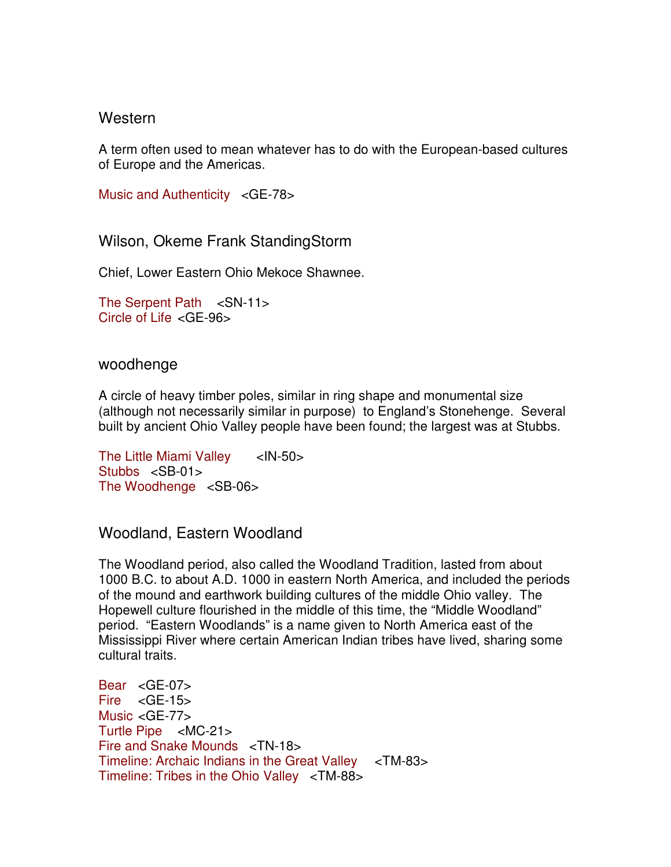### **Western**

A term often used to mean whatever has to do with the European-based cultures of Europe and the Americas.

Music and Authenticity <GE-78>

Wilson, Okeme Frank StandingStorm

Chief, Lower Eastern Ohio Mekoce Shawnee.

The Serpent Path <SN-11> Circle of Life <GE-96>

woodhenge

A circle of heavy timber poles, similar in ring shape and monumental size (although not necessarily similar in purpose) to England's Stonehenge. Several built by ancient Ohio Valley people have been found; the largest was at Stubbs.

The Little Miami Valley <IN-50> Stubbs <SB-01> The Woodhenge <SB-06>

Woodland, Eastern Woodland

The Woodland period, also called the Woodland Tradition, lasted from about 1000 B.C. to about A.D. 1000 in eastern North America, and included the periods of the mound and earthwork building cultures of the middle Ohio valley. The Hopewell culture flourished in the middle of this time, the "Middle Woodland" period. "Eastern Woodlands" is a name given to North America east of the Mississippi River where certain American Indian tribes have lived, sharing some cultural traits.

Bear <GE-07>  $Fire < GE-15$ Music <GE-77> Turtle Pipe <MC-21> Fire and Snake Mounds <TN-18> Timeline: Archaic Indians in the Great Valley <TM-83> Timeline: Tribes in the Ohio Valley <TM-88>